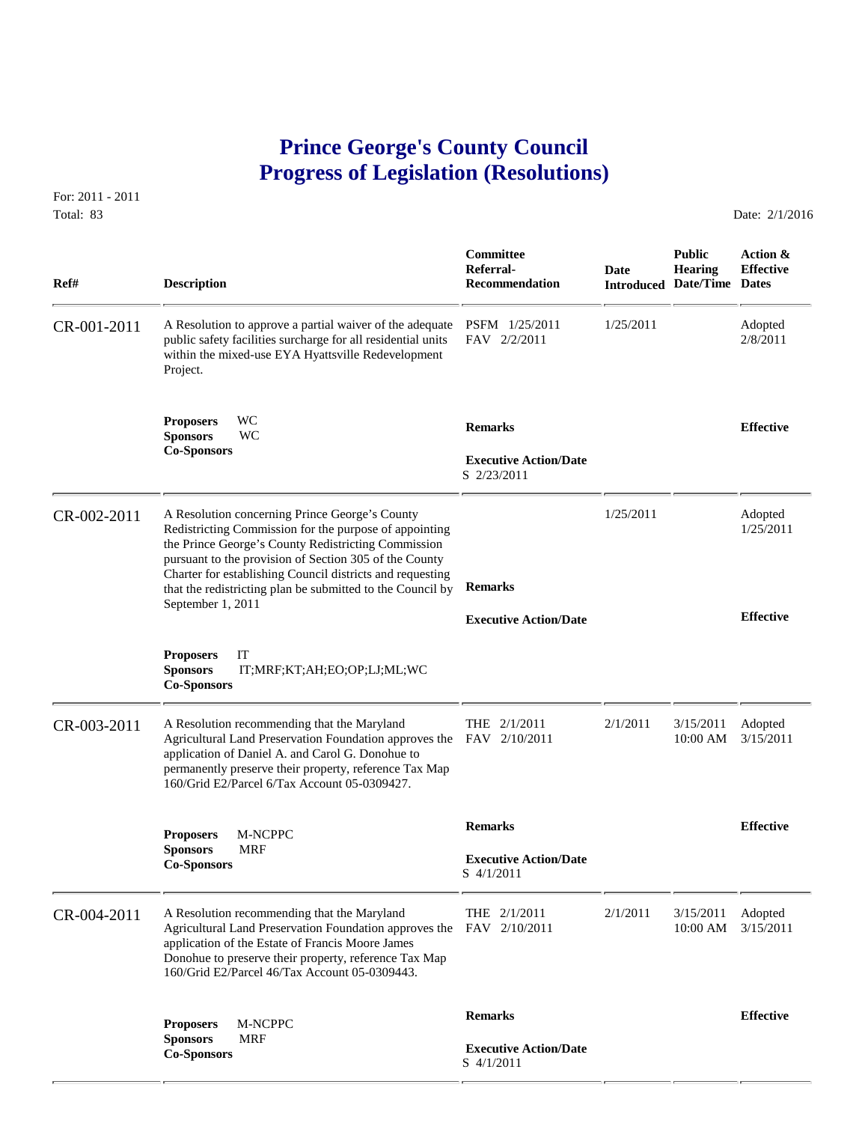## **Prince George's County Council Progress of Legislation (Resolutions)**

For: 2011 - 2011 Total: 83 Date: 2/1/2016

 **Committee Public Action & Referral- Date Hearing Effective Ref# Description Recommendation Introduced Date/Time Dates** CR-001-2011 A Resolution to approve a partial waiver of the adequate PSFM 1/25/2011 1/25/2011 Adopted<br>public safety facilities surcharge for all residential units FAV 2/2/2011 2/8/2011 2/8/2011 public safety facilities surcharge for all residential units within the mixed-use EYA Hyattsville Redevelopment Project. **Proposers** WC **Remarks Effective Sponsors** WC **Co-Sponsors Executive Action/Date** S 2/23/2011 CR-002-2011 A Resolution concerning Prince George's County 1/25/2011 Adopted<br>Redistricting Commission for the purpose of appointing 1/25/2011 1/25/2011 Redistricting Commission for the purpose of appointing the Prince George's County Redistricting Commission pursuant to the provision of Section 305 of the County Charter for establishing Council districts and requesting that the redistricting plan be submitted to the Council by **Remarks** September 1, 2011 **Effective Executive Action/Date Proposers** IT **Sponsors** IT;MRF;KT;AH;EO;OP;LJ;ML;WC **Co-Sponsors**  CR-003-2011 A Resolution recommending that the Maryland THE 2/1/2011 2/1/2011 3/15/2011 Adopted<br>Agricultural Land Preservation Foundation approves the FAV 2/10/2011 10:00 AM 3/15/2011 Agricultural Land Preservation Foundation approves the FAV 2/10/2011 application of Daniel A. and Carol G. Donohue to permanently preserve their property, reference Tax Map 160/Grid E2/Parcel 6/Tax Account 05-0309427.  **Remarks Effective Proposers** M-NCPPC **Sponsors** MRF **Executive Action/Date**<br> **Co-Sponsors Executive Action/Date**<br>
S 4/1/2011 CR-004-2011 A Resolution recommending that the Maryland THE 2/1/2011 2/1/2011 3/15/2011 Adopted<br>Agricultural Land Preservation Foundation approves the FAV 2/10/2011 10:00 AM 3/15/2011 Agricultural Land Preservation Foundation approves the application of the Estate of Francis Moore James Donohue to preserve their property, reference Tax Map 160/Grid E2/Parcel 46/Tax Account 05-0309443.  **Remarks Effective Proposers** M-NCPPC **Sponsors** MRF **Executive Action/Date**<br> **Co-Sponsors S** 4/1/2011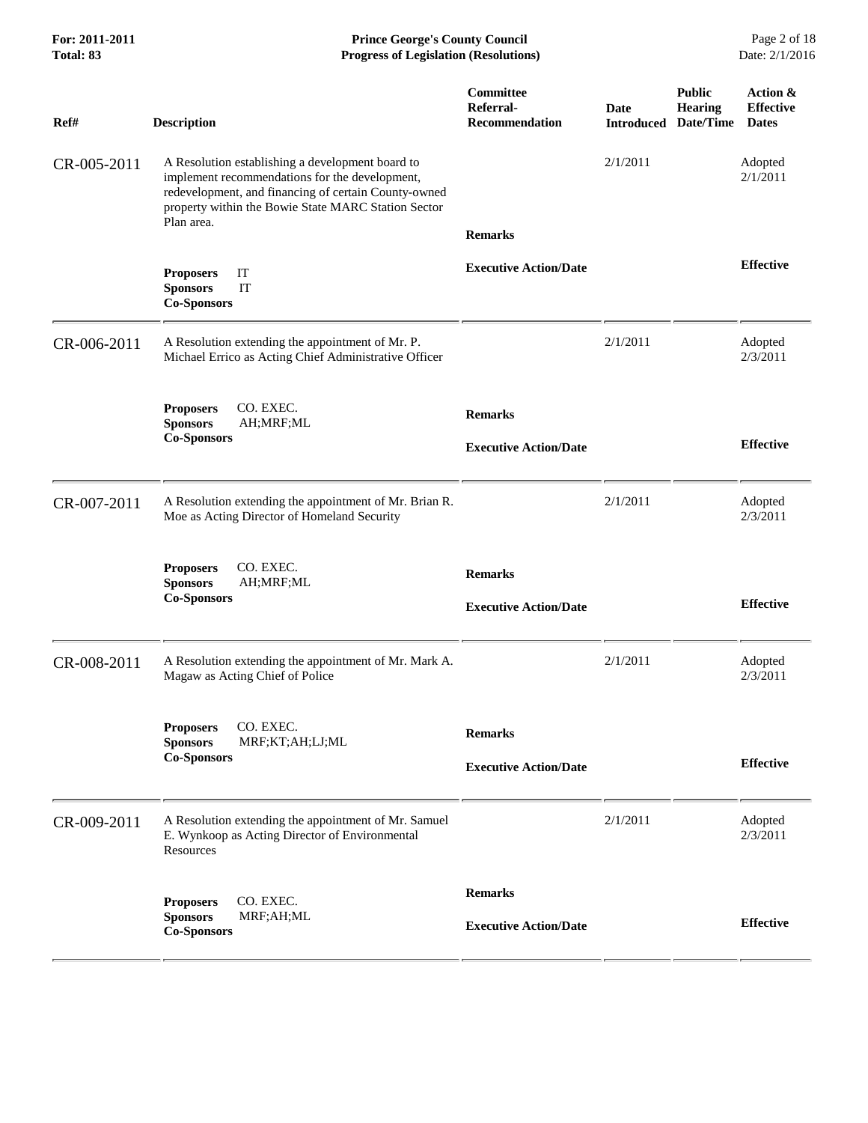| For: 2011-2011<br>Total: 83 | <b>Prince George's County Council</b><br><b>Progress of Legislation (Resolutions)</b>                                                                                                                                           |                                                        |                           |                                              | Page 2 of 18<br>Date: 2/1/2016               |  |
|-----------------------------|---------------------------------------------------------------------------------------------------------------------------------------------------------------------------------------------------------------------------------|--------------------------------------------------------|---------------------------|----------------------------------------------|----------------------------------------------|--|
| Ref#                        | <b>Description</b>                                                                                                                                                                                                              | <b>Committee</b><br>Referral-<br><b>Recommendation</b> | Date<br><b>Introduced</b> | <b>Public</b><br><b>Hearing</b><br>Date/Time | Action &<br><b>Effective</b><br><b>Dates</b> |  |
| CR-005-2011                 | A Resolution establishing a development board to<br>implement recommendations for the development,<br>redevelopment, and financing of certain County-owned<br>property within the Bowie State MARC Station Sector<br>Plan area. | <b>Remarks</b>                                         | 2/1/2011                  |                                              | Adopted<br>2/1/2011                          |  |
|                             | IT<br><b>Proposers</b><br>IT<br><b>Sponsors</b><br><b>Co-Sponsors</b>                                                                                                                                                           | <b>Executive Action/Date</b>                           |                           |                                              | <b>Effective</b>                             |  |
| CR-006-2011                 | A Resolution extending the appointment of Mr. P.<br>Michael Errico as Acting Chief Administrative Officer                                                                                                                       |                                                        | 2/1/2011                  |                                              | Adopted<br>2/3/2011                          |  |
|                             | CO. EXEC.<br><b>Proposers</b><br><b>Sponsors</b><br>AH; MRF; ML<br><b>Co-Sponsors</b>                                                                                                                                           | <b>Remarks</b><br><b>Executive Action/Date</b>         |                           |                                              | <b>Effective</b>                             |  |
| CR-007-2011                 | A Resolution extending the appointment of Mr. Brian R.<br>Moe as Acting Director of Homeland Security                                                                                                                           |                                                        | 2/1/2011                  |                                              | Adopted<br>2/3/2011                          |  |
|                             | CO. EXEC.<br><b>Proposers</b><br><b>Sponsors</b><br>AH;MRF;ML<br><b>Co-Sponsors</b>                                                                                                                                             | <b>Remarks</b><br><b>Executive Action/Date</b>         |                           |                                              | <b>Effective</b>                             |  |
| CR-008-2011                 | A Resolution extending the appointment of Mr. Mark A.<br>Magaw as Acting Chief of Police                                                                                                                                        |                                                        | 2/1/2011                  |                                              | Adopted<br>2/3/2011                          |  |
|                             | CO. EXEC.<br><b>Proposers</b><br><b>Sponsors</b><br>MRF;KT;AH;LJ;ML<br><b>Co-Sponsors</b>                                                                                                                                       | <b>Remarks</b><br><b>Executive Action/Date</b>         |                           |                                              | <b>Effective</b>                             |  |
| CR-009-2011                 | A Resolution extending the appointment of Mr. Samuel<br>E. Wynkoop as Acting Director of Environmental<br>Resources                                                                                                             |                                                        | 2/1/2011                  |                                              | Adopted<br>2/3/2011                          |  |
|                             | CO. EXEC.<br><b>Proposers</b><br><b>Sponsors</b><br>MRF;AH;ML<br><b>Co-Sponsors</b>                                                                                                                                             | <b>Remarks</b><br><b>Executive Action/Date</b>         |                           |                                              | <b>Effective</b>                             |  |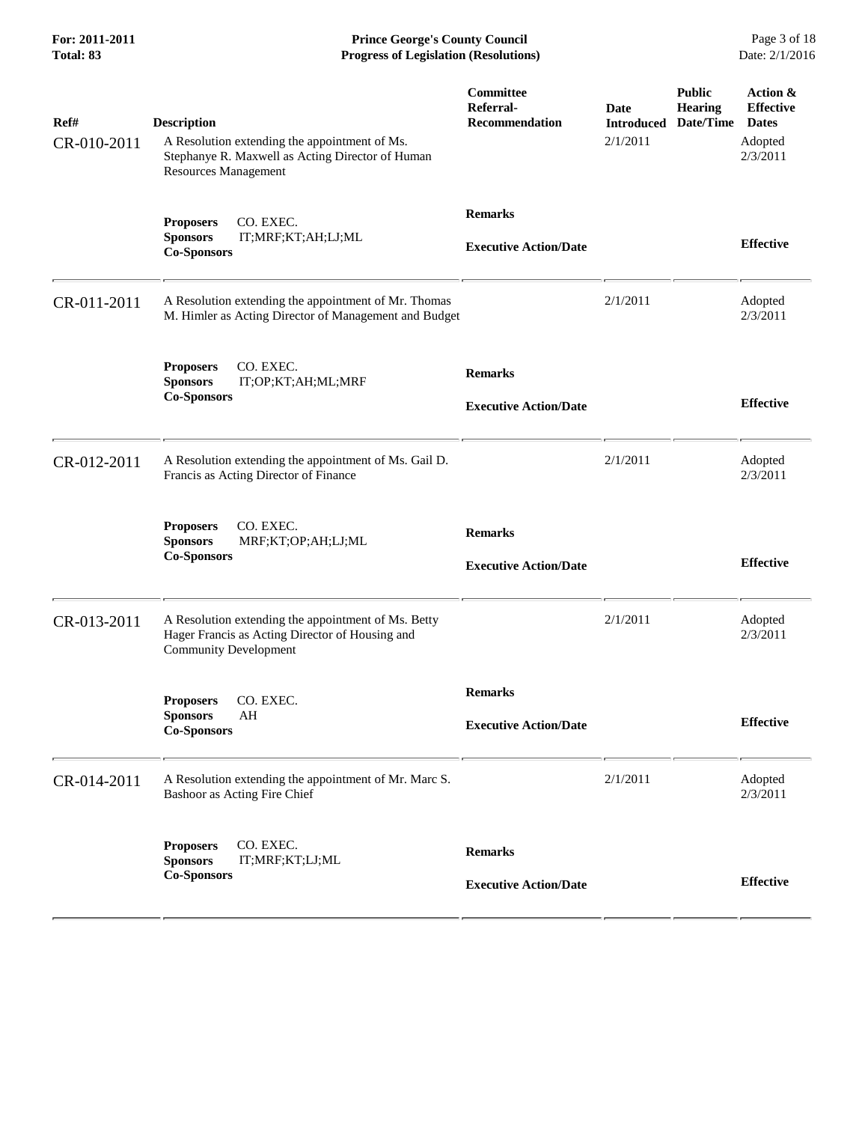**For: 2011-2011 Prince George's County Council** Page 3 of 18<br> **Prince George's County Council** Page 3 of 18<br> **Progress of Legislation (Resolutions)** Date: 2/1/2016 **Progress of Legislation (Resolutions) Progress of Legislation (Resolutions)** 

| Ref#<br>CR-010-2011 | <b>Description</b><br>A Resolution extending the appointment of Ms.<br>Stephanye R. Maxwell as Acting Director of Human<br>Resources Management | Committee<br>Referral-<br><b>Recommendation</b> | Date<br><b>Introduced</b><br>2/1/2011 | <b>Public</b><br><b>Hearing</b><br>Date/Time | Action &<br><b>Effective</b><br><b>Dates</b><br>Adopted<br>2/3/2011 |
|---------------------|-------------------------------------------------------------------------------------------------------------------------------------------------|-------------------------------------------------|---------------------------------------|----------------------------------------------|---------------------------------------------------------------------|
|                     | CO. EXEC.<br><b>Proposers</b><br><b>Sponsors</b><br>IT;MRF;KT;AH;LJ;ML<br><b>Co-Sponsors</b>                                                    | <b>Remarks</b><br><b>Executive Action/Date</b>  |                                       |                                              | <b>Effective</b>                                                    |
| CR-011-2011         | A Resolution extending the appointment of Mr. Thomas<br>M. Himler as Acting Director of Management and Budget                                   |                                                 | 2/1/2011                              |                                              | Adopted<br>2/3/2011                                                 |
|                     | <b>Proposers</b><br>CO. EXEC.<br>IT;OP;KT;AH;ML;MRF<br><b>Sponsors</b><br><b>Co-Sponsors</b>                                                    | <b>Remarks</b><br><b>Executive Action/Date</b>  |                                       |                                              | <b>Effective</b>                                                    |
| CR-012-2011         | A Resolution extending the appointment of Ms. Gail D.<br>Francis as Acting Director of Finance                                                  |                                                 | 2/1/2011                              |                                              | Adopted<br>2/3/2011                                                 |
|                     | CO. EXEC.<br><b>Proposers</b><br><b>Sponsors</b><br>MRF;KT;OP;AH;LJ;ML<br><b>Co-Sponsors</b>                                                    | <b>Remarks</b><br><b>Executive Action/Date</b>  |                                       |                                              | <b>Effective</b>                                                    |
| CR-013-2011         | A Resolution extending the appointment of Ms. Betty<br>Hager Francis as Acting Director of Housing and<br><b>Community Development</b>          |                                                 | 2/1/2011                              |                                              | Adopted<br>2/3/2011                                                 |
|                     | CO. EXEC.<br><b>Proposers</b><br><b>Sponsors</b><br>AH<br><b>Co-Sponsors</b>                                                                    | <b>Remarks</b><br><b>Executive Action/Date</b>  |                                       |                                              | <b>Effective</b>                                                    |
| CR-014-2011         | A Resolution extending the appointment of Mr. Marc S.<br>Bashoor as Acting Fire Chief                                                           |                                                 | 2/1/2011                              |                                              | Adopted<br>2/3/2011                                                 |
|                     | CO. EXEC.<br><b>Proposers</b><br><b>Sponsors</b><br>IT;MRF;KT;LJ;ML<br><b>Co-Sponsors</b>                                                       | <b>Remarks</b><br><b>Executive Action/Date</b>  |                                       |                                              | <b>Effective</b>                                                    |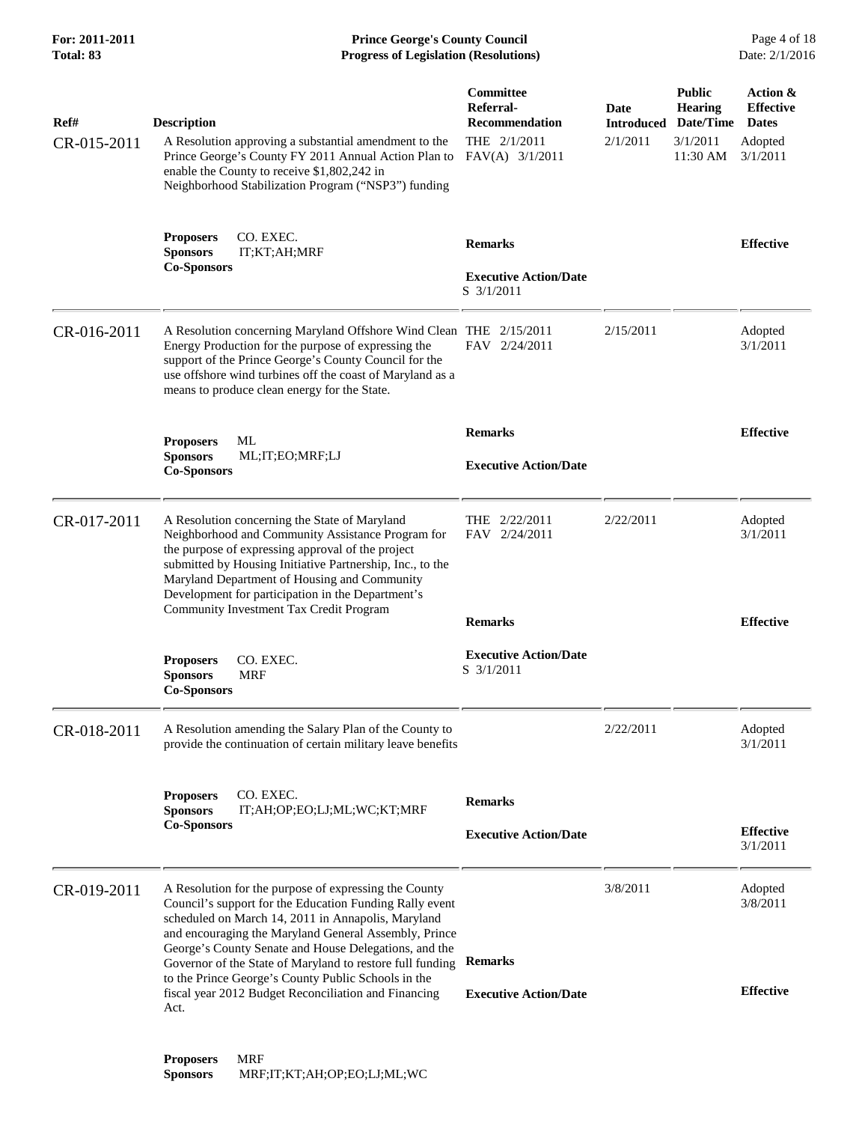**For: 2011-2011 Prince George's County Council** Page 4 of 18<br> **Prince George's County Council** Page 4 of 18<br> **Progress of Legislation (Resolutions)** Date: 2/1/2016 **Progress of Legislation (Resolutions) Progress of Legislation (Resolutions)** 

| Ref#<br>CR-015-2011 | <b>Description</b><br>A Resolution approving a substantial amendment to the<br>Prince George's County FY 2011 Annual Action Plan to<br>enable the County to receive \$1,802,242 in<br>Neighborhood Stabilization Program ("NSP3") funding                                                                                                                                                                                                                                    | Committee<br>Referral-<br><b>Recommendation</b><br>THE 2/1/2011<br>FAV(A) 3/1/2011 | <b>Date</b><br><b>Introduced</b><br>2/1/2011 | <b>Public</b><br><b>Hearing</b><br>Date/Time<br>3/1/2011<br>11:30 AM | Action &<br><b>Effective</b><br><b>Dates</b><br>Adopted<br>3/1/2011 |
|---------------------|------------------------------------------------------------------------------------------------------------------------------------------------------------------------------------------------------------------------------------------------------------------------------------------------------------------------------------------------------------------------------------------------------------------------------------------------------------------------------|------------------------------------------------------------------------------------|----------------------------------------------|----------------------------------------------------------------------|---------------------------------------------------------------------|
|                     | CO. EXEC.<br><b>Proposers</b><br><b>Sponsors</b><br>IT;KT;AH;MRF<br><b>Co-Sponsors</b>                                                                                                                                                                                                                                                                                                                                                                                       | <b>Remarks</b><br><b>Executive Action/Date</b><br>S 3/1/2011                       |                                              |                                                                      | <b>Effective</b>                                                    |
| CR-016-2011         | A Resolution concerning Maryland Offshore Wind Clean THE 2/15/2011<br>Energy Production for the purpose of expressing the<br>support of the Prince George's County Council for the<br>use offshore wind turbines off the coast of Maryland as a<br>means to produce clean energy for the State.                                                                                                                                                                              | FAV 2/24/2011                                                                      | 2/15/2011                                    |                                                                      | Adopted<br>3/1/2011                                                 |
|                     | ML<br><b>Proposers</b><br><b>Sponsors</b><br>ML;IT;EO;MRF;LJ<br><b>Co-Sponsors</b>                                                                                                                                                                                                                                                                                                                                                                                           | <b>Remarks</b><br><b>Executive Action/Date</b>                                     |                                              |                                                                      | <b>Effective</b>                                                    |
| CR-017-2011         | A Resolution concerning the State of Maryland<br>Neighborhood and Community Assistance Program for<br>the purpose of expressing approval of the project<br>submitted by Housing Initiative Partnership, Inc., to the<br>Maryland Department of Housing and Community<br>Development for participation in the Department's<br>Community Investment Tax Credit Program                                                                                                         | THE 2/22/2011<br>FAV 2/24/2011<br><b>Remarks</b>                                   | 2/22/2011                                    |                                                                      | Adopted<br>3/1/2011<br><b>Effective</b>                             |
|                     | <b>Proposers</b><br>CO. EXEC.<br><b>Sponsors</b><br>MRF<br><b>Co-Sponsors</b>                                                                                                                                                                                                                                                                                                                                                                                                | <b>Executive Action/Date</b><br>S 3/1/2011                                         |                                              |                                                                      |                                                                     |
| CR-018-2011         | A Resolution amending the Salary Plan of the County to<br>provide the continuation of certain military leave benefits                                                                                                                                                                                                                                                                                                                                                        |                                                                                    | 2/22/2011                                    |                                                                      | Adopted<br>3/1/2011                                                 |
|                     | CO. EXEC.<br><b>Proposers</b><br><b>Sponsors</b><br>IT;AH;OP;EO;LJ;ML;WC;KT;MRF<br><b>Co-Sponsors</b>                                                                                                                                                                                                                                                                                                                                                                        | <b>Remarks</b><br><b>Executive Action/Date</b>                                     |                                              |                                                                      | <b>Effective</b><br>3/1/2011                                        |
| CR-019-2011         | A Resolution for the purpose of expressing the County<br>Council's support for the Education Funding Rally event<br>scheduled on March 14, 2011 in Annapolis, Maryland<br>and encouraging the Maryland General Assembly, Prince<br>George's County Senate and House Delegations, and the<br>Governor of the State of Maryland to restore full funding<br>to the Prince George's County Public Schools in the<br>fiscal year 2012 Budget Reconciliation and Financing<br>Act. | <b>Remarks</b>                                                                     | 3/8/2011                                     |                                                                      | Adopted<br>3/8/2011                                                 |
|                     |                                                                                                                                                                                                                                                                                                                                                                                                                                                                              | <b>Executive Action/Date</b>                                                       |                                              |                                                                      | <b>Effective</b>                                                    |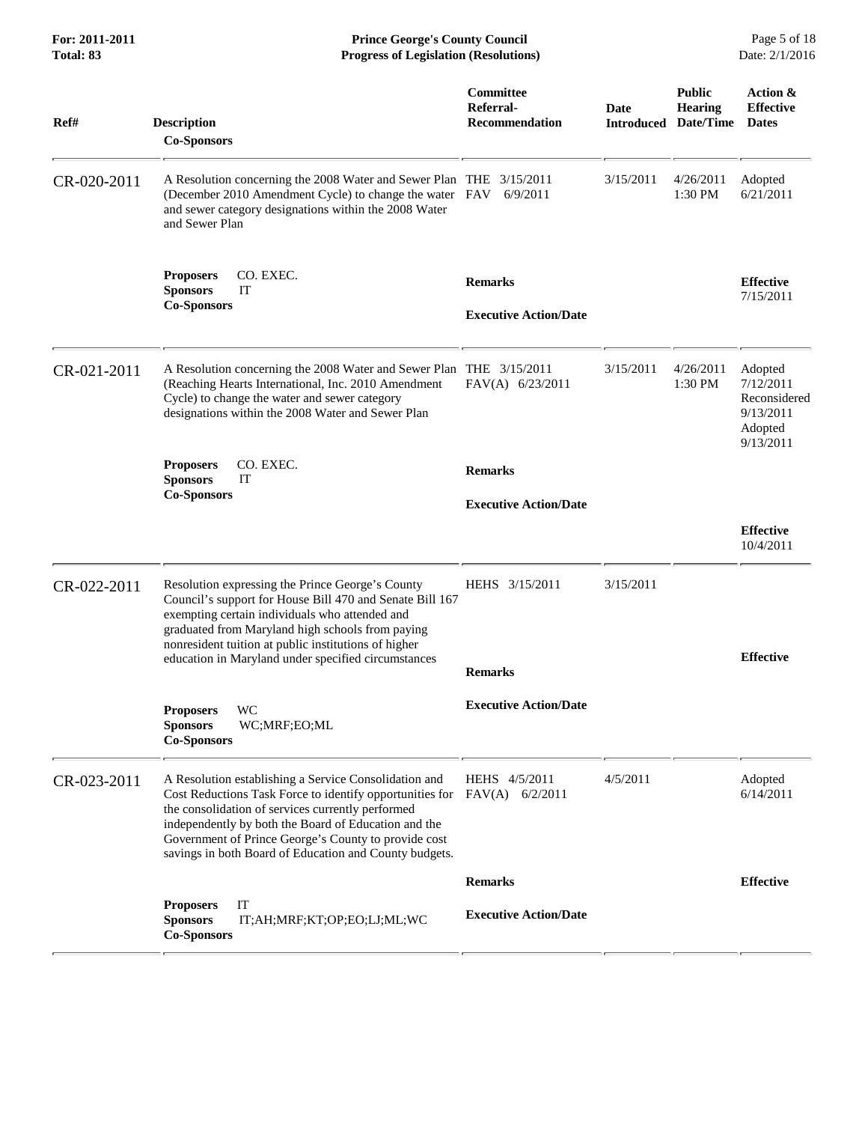| For: 2011-2011<br><b>Total: 83</b> | <b>Prince George's County Council</b><br>Date: 2/1/2016<br><b>Progress of Legislation (Resolutions)</b>                                                                                                                                                                                                                                                          |                                                        |           |                                                                |                                                                           |
|------------------------------------|------------------------------------------------------------------------------------------------------------------------------------------------------------------------------------------------------------------------------------------------------------------------------------------------------------------------------------------------------------------|--------------------------------------------------------|-----------|----------------------------------------------------------------|---------------------------------------------------------------------------|
| Ref#                               | <b>Description</b><br><b>Co-Sponsors</b>                                                                                                                                                                                                                                                                                                                         | <b>Committee</b><br>Referral-<br><b>Recommendation</b> | Date      | <b>Public</b><br><b>Hearing</b><br><b>Introduced Date/Time</b> | Action &<br><b>Effective</b><br><b>Dates</b>                              |
| CR-020-2011                        | A Resolution concerning the 2008 Water and Sewer Plan THE 3/15/2011<br>(December 2010 Amendment Cycle) to change the water FAV<br>and sewer category designations within the 2008 Water<br>and Sewer Plan                                                                                                                                                        | 6/9/2011                                               | 3/15/2011 | 4/26/2011<br>1:30 PM                                           | Adopted<br>6/21/2011                                                      |
|                                    | CO. EXEC.<br><b>Proposers</b><br><b>Sponsors</b><br>IT<br><b>Co-Sponsors</b>                                                                                                                                                                                                                                                                                     | <b>Remarks</b><br><b>Executive Action/Date</b>         |           |                                                                | <b>Effective</b><br>7/15/2011                                             |
| CR-021-2011                        | A Resolution concerning the 2008 Water and Sewer Plan THE 3/15/2011<br>(Reaching Hearts International, Inc. 2010 Amendment<br>Cycle) to change the water and sewer category<br>designations within the 2008 Water and Sewer Plan                                                                                                                                 | FAV(A) 6/23/2011                                       | 3/15/2011 | 4/26/2011<br>1:30 PM                                           | Adopted<br>7/12/2011<br>Reconsidered<br>9/13/2011<br>Adopted<br>9/13/2011 |
|                                    | <b>Proposers</b><br>CO. EXEC.<br><b>Sponsors</b><br>IT                                                                                                                                                                                                                                                                                                           | <b>Remarks</b>                                         |           |                                                                |                                                                           |
|                                    | <b>Co-Sponsors</b>                                                                                                                                                                                                                                                                                                                                               | <b>Executive Action/Date</b>                           |           |                                                                |                                                                           |
|                                    |                                                                                                                                                                                                                                                                                                                                                                  |                                                        |           |                                                                | <b>Effective</b><br>10/4/2011                                             |
| CR-022-2011                        | Resolution expressing the Prince George's County<br>Council's support for House Bill 470 and Senate Bill 167<br>exempting certain individuals who attended and<br>graduated from Maryland high schools from paying<br>nonresident tuition at public institutions of higher<br>education in Maryland under specified circumstances                                | HEHS 3/15/2011<br><b>Remarks</b>                       | 3/15/2011 |                                                                | <b>Effective</b>                                                          |
|                                    | <b>WC</b><br><b>Proposers</b><br><b>Sponsors</b><br>WC;MRF;EO;ML<br><b>Co-Sponsors</b>                                                                                                                                                                                                                                                                           | <b>Executive Action/Date</b>                           |           |                                                                |                                                                           |
| CR-023-2011                        | A Resolution establishing a Service Consolidation and<br>Cost Reductions Task Force to identify opportunities for FAV(A) 6/2/2011<br>the consolidation of services currently performed<br>independently by both the Board of Education and the<br>Government of Prince George's County to provide cost<br>savings in both Board of Education and County budgets. | HEHS 4/5/2011                                          | 4/5/2011  |                                                                | Adopted<br>6/14/2011                                                      |
|                                    |                                                                                                                                                                                                                                                                                                                                                                  | <b>Remarks</b>                                         |           |                                                                | <b>Effective</b>                                                          |
|                                    | IT<br><b>Proposers</b><br><b>Sponsors</b><br>IT;AH;MRF;KT;OP;EO;LJ;ML;WC<br><b>Co-Sponsors</b>                                                                                                                                                                                                                                                                   | <b>Executive Action/Date</b>                           |           |                                                                |                                                                           |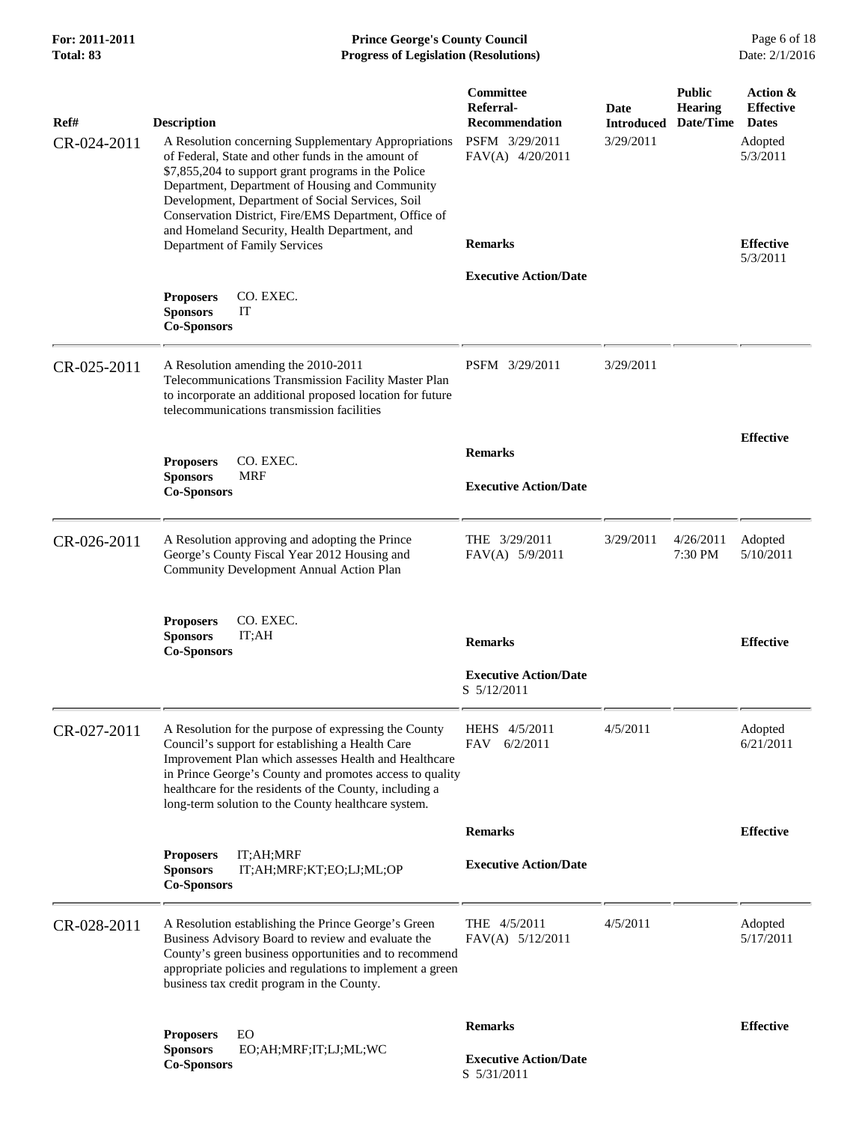| Ref#<br>CR-024-2011 | <b>Description</b><br>A Resolution concerning Supplementary Appropriations<br>of Federal, State and other funds in the amount of                                                                                                                                                                                                                 | Committee<br>Referral-<br><b>Recommendation</b><br>PSFM 3/29/2011<br>FAV(A) 4/20/2011 | Date<br><b>Introduced</b><br>3/29/2011 | <b>Public</b><br><b>Hearing</b><br>Date/Time | Action &<br><b>Effective</b><br><b>Dates</b><br>Adopted<br>5/3/2011 |
|---------------------|--------------------------------------------------------------------------------------------------------------------------------------------------------------------------------------------------------------------------------------------------------------------------------------------------------------------------------------------------|---------------------------------------------------------------------------------------|----------------------------------------|----------------------------------------------|---------------------------------------------------------------------|
|                     | \$7,855,204 to support grant programs in the Police<br>Department, Department of Housing and Community<br>Development, Department of Social Services, Soil<br>Conservation District, Fire/EMS Department, Office of<br>and Homeland Security, Health Department, and<br>Department of Family Services                                            | <b>Remarks</b>                                                                        |                                        |                                              | <b>Effective</b>                                                    |
|                     | CO. EXEC.<br><b>Proposers</b><br><b>Sponsors</b><br>IT<br><b>Co-Sponsors</b>                                                                                                                                                                                                                                                                     | <b>Executive Action/Date</b>                                                          |                                        |                                              | 5/3/2011                                                            |
| CR-025-2011         | A Resolution amending the 2010-2011<br>Telecommunications Transmission Facility Master Plan<br>to incorporate an additional proposed location for future<br>telecommunications transmission facilities                                                                                                                                           | PSFM 3/29/2011                                                                        | 3/29/2011                              |                                              |                                                                     |
|                     |                                                                                                                                                                                                                                                                                                                                                  | <b>Remarks</b>                                                                        |                                        |                                              | <b>Effective</b>                                                    |
|                     | <b>Proposers</b><br>CO. EXEC.<br><b>Sponsors</b><br><b>MRF</b>                                                                                                                                                                                                                                                                                   | <b>Executive Action/Date</b>                                                          |                                        |                                              |                                                                     |
|                     | <b>Co-Sponsors</b>                                                                                                                                                                                                                                                                                                                               |                                                                                       |                                        |                                              |                                                                     |
| CR-026-2011         | A Resolution approving and adopting the Prince<br>George's County Fiscal Year 2012 Housing and<br>Community Development Annual Action Plan                                                                                                                                                                                                       | THE 3/29/2011<br>$FAV(A)$ 5/9/2011                                                    | 3/29/2011                              | 4/26/2011<br>7:30 PM                         | Adopted<br>5/10/2011                                                |
|                     | CO. EXEC.<br><b>Proposers</b><br><b>Sponsors</b><br>IT;AH<br><b>Co-Sponsors</b>                                                                                                                                                                                                                                                                  | <b>Remarks</b>                                                                        |                                        |                                              | <b>Effective</b>                                                    |
|                     |                                                                                                                                                                                                                                                                                                                                                  | <b>Executive Action/Date</b><br>S 5/12/2011                                           |                                        |                                              |                                                                     |
| CR-027-2011         | A Resolution for the purpose of expressing the County<br>Council's support for establishing a Health Care<br>Improvement Plan which assesses Health and Healthcare<br>in Prince George's County and promotes access to quality<br>healthcare for the residents of the County, including a<br>long-term solution to the County healthcare system. | HEHS 4/5/2011<br>6/2/2011<br><b>FAV</b>                                               | 4/5/2011                               |                                              | Adopted<br>6/21/2011                                                |
|                     |                                                                                                                                                                                                                                                                                                                                                  | <b>Remarks</b>                                                                        |                                        |                                              | <b>Effective</b>                                                    |
|                     | IT;AH;MRF<br><b>Proposers</b><br><b>Sponsors</b><br>IT;AH;MRF;KT;EO;LJ;ML;OP<br><b>Co-Sponsors</b>                                                                                                                                                                                                                                               | <b>Executive Action/Date</b>                                                          |                                        |                                              |                                                                     |
| CR-028-2011         | A Resolution establishing the Prince George's Green<br>Business Advisory Board to review and evaluate the<br>County's green business opportunities and to recommend<br>appropriate policies and regulations to implement a green<br>business tax credit program in the County.                                                                   | THE 4/5/2011<br>$FAV(A)$ 5/12/2011                                                    | 4/5/2011                               |                                              | Adopted<br>5/17/2011                                                |
|                     | <b>Proposers</b><br>EO                                                                                                                                                                                                                                                                                                                           | <b>Remarks</b>                                                                        |                                        |                                              | <b>Effective</b>                                                    |
|                     | <b>Sponsors</b><br>EO;AH;MRF;IT;LJ;ML;WC<br><b>Co-Sponsors</b>                                                                                                                                                                                                                                                                                   | <b>Executive Action/Date</b><br>S 5/31/2011                                           |                                        |                                              |                                                                     |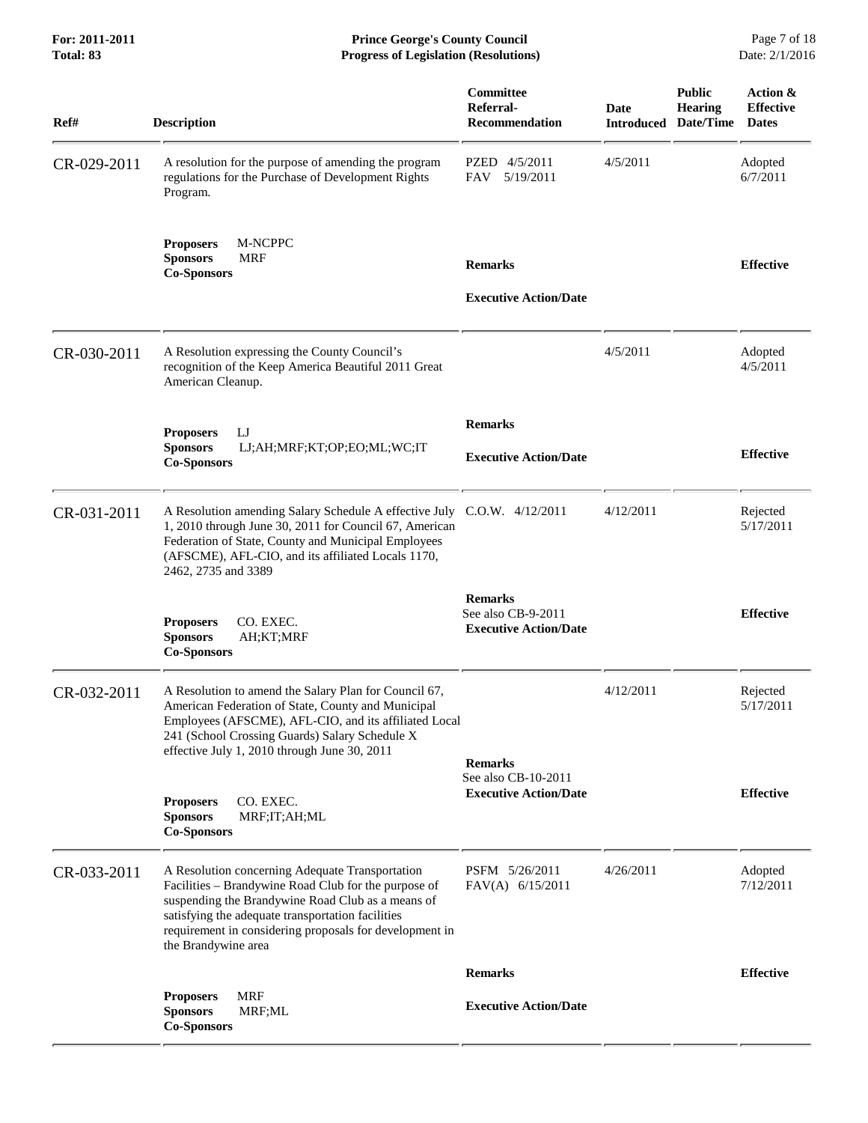**For: 2011-2011 Prince George's County Council** Page 7 of 18<br> **Prince George's County Council** Page 7 of 18<br> **Progress of Legislation (Resolutions)** Date: 2/1/2016 **Progress of Legislation (Resolutions)** 

| Ref#        | <b>Description</b>                                                                                                                                                                                                                                                                                  | Committee<br>Referral-<br>Recommendation                             | <b>Date</b><br><b>Introduced</b> | <b>Public</b><br><b>Hearing</b><br>Date/Time | Action &<br><b>Effective</b><br><b>Dates</b> |
|-------------|-----------------------------------------------------------------------------------------------------------------------------------------------------------------------------------------------------------------------------------------------------------------------------------------------------|----------------------------------------------------------------------|----------------------------------|----------------------------------------------|----------------------------------------------|
| CR-029-2011 | A resolution for the purpose of amending the program<br>regulations for the Purchase of Development Rights<br>Program.                                                                                                                                                                              | PZED 4/5/2011<br>5/19/2011<br>FAV                                    | 4/5/2011                         |                                              | Adopted<br>6/7/2011                          |
|             | <b>Proposers</b><br>M-NCPPC<br><b>Sponsors</b><br><b>MRF</b><br><b>Co-Sponsors</b>                                                                                                                                                                                                                  | <b>Remarks</b>                                                       |                                  |                                              | <b>Effective</b>                             |
|             |                                                                                                                                                                                                                                                                                                     | <b>Executive Action/Date</b>                                         |                                  |                                              |                                              |
| CR-030-2011 | A Resolution expressing the County Council's<br>recognition of the Keep America Beautiful 2011 Great<br>American Cleanup.                                                                                                                                                                           |                                                                      | 4/5/2011                         |                                              | Adopted<br>4/5/2011                          |
|             | IJ<br><b>Proposers</b>                                                                                                                                                                                                                                                                              | <b>Remarks</b>                                                       |                                  |                                              |                                              |
|             | <b>Sponsors</b><br>LJ;AH;MRF;KT;OP;EO;ML;WC;IT<br><b>Co-Sponsors</b>                                                                                                                                                                                                                                | <b>Executive Action/Date</b>                                         |                                  |                                              | <b>Effective</b>                             |
| CR-031-2011 | A Resolution amending Salary Schedule A effective July<br>1, 2010 through June 30, 2011 for Council 67, American<br>Federation of State, County and Municipal Employees<br>(AFSCME), AFL-CIO, and its affiliated Locals 1170,<br>2462, 2735 and 3389                                                | $C.O.W.$ 4/12/2011                                                   | 4/12/2011                        |                                              | Rejected<br>5/17/2011                        |
|             | <b>Proposers</b><br>CO. EXEC.<br><b>Sponsors</b><br>AH;KT;MRF<br><b>Co-Sponsors</b>                                                                                                                                                                                                                 | <b>Remarks</b><br>See also CB-9-2011<br><b>Executive Action/Date</b> |                                  |                                              | <b>Effective</b>                             |
| CR-032-2011 | A Resolution to amend the Salary Plan for Council 67,<br>American Federation of State, County and Municipal<br>Employees (AFSCME), AFL-CIO, and its affiliated Local<br>241 (School Crossing Guards) Salary Schedule X<br>effective July 1, 2010 through June 30, 2011                              | <b>Remarks</b>                                                       | 4/12/2011                        |                                              | Rejected<br>5/17/2011                        |
|             | <b>Proposers</b><br>CO. EXEC.<br><b>Sponsors</b><br>MRF;IT;AH;ML<br><b>Co-Sponsors</b>                                                                                                                                                                                                              | See also CB-10-2011<br><b>Executive Action/Date</b>                  |                                  |                                              | <b>Effective</b>                             |
| CR-033-2011 | A Resolution concerning Adequate Transportation<br>Facilities - Brandywine Road Club for the purpose of<br>suspending the Brandywine Road Club as a means of<br>satisfying the adequate transportation facilities<br>requirement in considering proposals for development in<br>the Brandywine area | PSFM 5/26/2011<br>FAV(A) 6/15/2011                                   | 4/26/2011                        |                                              | Adopted<br>7/12/2011                         |
|             |                                                                                                                                                                                                                                                                                                     | <b>Remarks</b>                                                       |                                  |                                              | <b>Effective</b>                             |
|             | <b>MRF</b><br><b>Proposers</b><br><b>Sponsors</b><br>MRF;ML<br><b>Co-Sponsors</b>                                                                                                                                                                                                                   | <b>Executive Action/Date</b>                                         |                                  |                                              |                                              |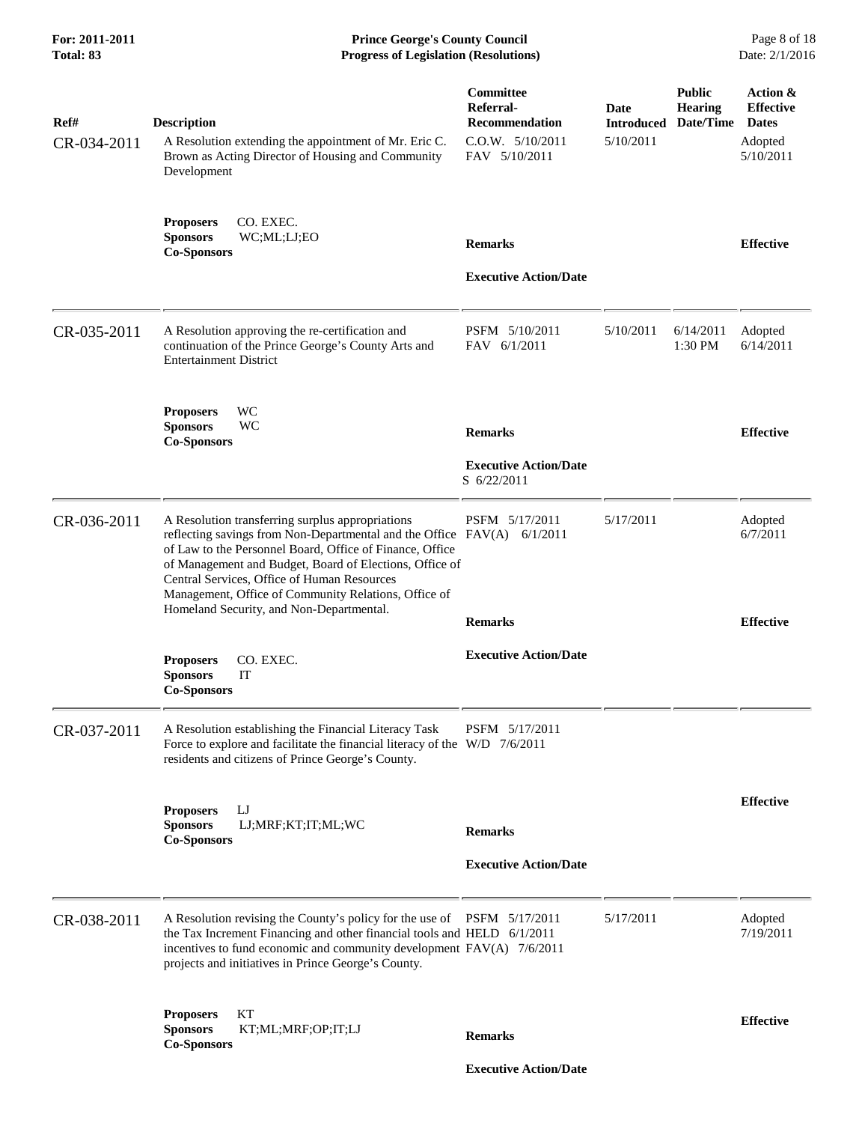| For: 2011-2011<br>Total: 83 | <b>Prince George's County Council</b><br><b>Progress of Legislation (Resolutions)</b>                                                                                                                                                                                                                                                                                                                 |                                                                                      |                                               |                                              | Page 8 of 18<br>Date: 2/1/2016                                       |
|-----------------------------|-------------------------------------------------------------------------------------------------------------------------------------------------------------------------------------------------------------------------------------------------------------------------------------------------------------------------------------------------------------------------------------------------------|--------------------------------------------------------------------------------------|-----------------------------------------------|----------------------------------------------|----------------------------------------------------------------------|
| Ref#<br>CR-034-2011         | <b>Description</b><br>A Resolution extending the appointment of Mr. Eric C.<br>Brown as Acting Director of Housing and Community<br>Development                                                                                                                                                                                                                                                       | Committee<br>Referral-<br><b>Recommendation</b><br>C.O.W. 5/10/2011<br>FAV 5/10/2011 | <b>Date</b><br><b>Introduced</b><br>5/10/2011 | <b>Public</b><br><b>Hearing</b><br>Date/Time | Action &<br><b>Effective</b><br><b>Dates</b><br>Adopted<br>5/10/2011 |
|                             | CO. EXEC.<br><b>Proposers</b><br><b>Sponsors</b><br>WC;ML;LJ;EO<br><b>Co-Sponsors</b>                                                                                                                                                                                                                                                                                                                 | <b>Remarks</b><br><b>Executive Action/Date</b>                                       |                                               |                                              | <b>Effective</b>                                                     |
| CR-035-2011                 | A Resolution approving the re-certification and<br>continuation of the Prince George's County Arts and<br><b>Entertainment District</b>                                                                                                                                                                                                                                                               | PSFM 5/10/2011<br>FAV 6/1/2011                                                       | 5/10/2011                                     | 6/14/2011<br>1:30 PM                         | Adopted<br>6/14/2011                                                 |
|                             | WC<br><b>Proposers</b><br><b>Sponsors</b><br>WC<br><b>Co-Sponsors</b>                                                                                                                                                                                                                                                                                                                                 | <b>Remarks</b><br><b>Executive Action/Date</b><br>S 6/22/2011                        |                                               |                                              | <b>Effective</b>                                                     |
| CR-036-2011                 | A Resolution transferring surplus appropriations<br>reflecting savings from Non-Departmental and the Office FAV(A) 6/1/2011<br>of Law to the Personnel Board, Office of Finance, Office<br>of Management and Budget, Board of Elections, Office of<br>Central Services, Office of Human Resources<br>Management, Office of Community Relations, Office of<br>Homeland Security, and Non-Departmental. | PSFM 5/17/2011<br><b>Remarks</b>                                                     | 5/17/2011                                     |                                              | Adopted<br>6/7/2011<br><b>Effective</b>                              |
|                             | CO. EXEC.<br><b>Proposers</b><br><b>Sponsors</b><br>IT<br><b>Co-Sponsors</b>                                                                                                                                                                                                                                                                                                                          | <b>Executive Action/Date</b>                                                         |                                               |                                              |                                                                      |
| CR-037-2011                 | A Resolution establishing the Financial Literacy Task<br>Force to explore and facilitate the financial literacy of the $W/D$ 7/6/2011<br>residents and citizens of Prince George's County.                                                                                                                                                                                                            | PSFM 5/17/2011                                                                       |                                               |                                              |                                                                      |
|                             | IJ<br><b>Proposers</b><br>LJ;MRF;KT;IT;ML;WC<br><b>Sponsors</b><br><b>Co-Sponsors</b>                                                                                                                                                                                                                                                                                                                 | <b>Remarks</b><br><b>Executive Action/Date</b>                                       |                                               |                                              | <b>Effective</b>                                                     |
| CR-038-2011                 | A Resolution revising the County's policy for the use of PSFM 5/17/2011<br>the Tax Increment Financing and other financial tools and HELD 6/1/2011<br>incentives to fund economic and community development $FAV(A)$ 7/6/2011<br>projects and initiatives in Prince George's County.                                                                                                                  |                                                                                      | 5/17/2011                                     |                                              | Adopted<br>7/19/2011                                                 |
|                             | KТ<br><b>Proposers</b><br>KT;ML;MRF;OP;IT;LJ<br><b>Sponsors</b><br><b>Co-Sponsors</b>                                                                                                                                                                                                                                                                                                                 | <b>Remarks</b>                                                                       |                                               |                                              | <b>Effective</b>                                                     |
|                             |                                                                                                                                                                                                                                                                                                                                                                                                       | <b>Executive Action/Date</b>                                                         |                                               |                                              |                                                                      |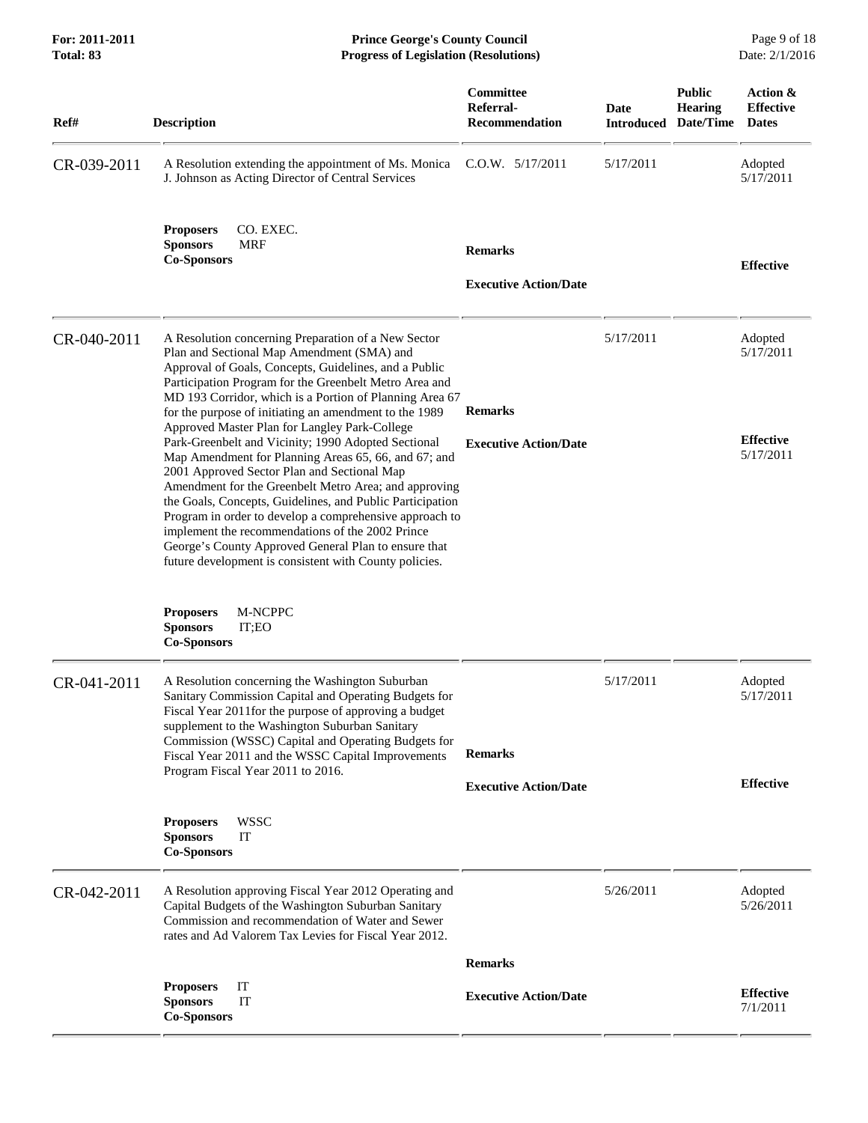| Ref#        | <b>Description</b>                                                                                                                                                                                                                                                                                                                                                                                                                                                                                                | Committee<br>Referral-<br><b>Recommendation</b> | <b>Date</b><br><b>Introduced</b> | <b>Public</b><br><b>Hearing</b><br>Date/Time | Action &<br><b>Effective</b><br><b>Dates</b> |
|-------------|-------------------------------------------------------------------------------------------------------------------------------------------------------------------------------------------------------------------------------------------------------------------------------------------------------------------------------------------------------------------------------------------------------------------------------------------------------------------------------------------------------------------|-------------------------------------------------|----------------------------------|----------------------------------------------|----------------------------------------------|
| CR-039-2011 | A Resolution extending the appointment of Ms. Monica<br>J. Johnson as Acting Director of Central Services                                                                                                                                                                                                                                                                                                                                                                                                         | C.O.W. 5/17/2011                                | 5/17/2011                        |                                              | Adopted<br>5/17/2011                         |
|             | CO. EXEC.<br><b>Proposers</b><br><b>Sponsors</b><br><b>MRF</b><br><b>Co-Sponsors</b>                                                                                                                                                                                                                                                                                                                                                                                                                              | <b>Remarks</b><br><b>Executive Action/Date</b>  |                                  |                                              | <b>Effective</b>                             |
| CR-040-2011 | A Resolution concerning Preparation of a New Sector<br>Plan and Sectional Map Amendment (SMA) and<br>Approval of Goals, Concepts, Guidelines, and a Public<br>Participation Program for the Greenbelt Metro Area and<br>MD 193 Corridor, which is a Portion of Planning Area 67<br>for the purpose of initiating an amendment to the 1989<br>Approved Master Plan for Langley Park-College                                                                                                                        | <b>Remarks</b>                                  | 5/17/2011                        |                                              | Adopted<br>5/17/2011                         |
|             | Park-Greenbelt and Vicinity; 1990 Adopted Sectional<br>Map Amendment for Planning Areas 65, 66, and 67; and<br>2001 Approved Sector Plan and Sectional Map<br>Amendment for the Greenbelt Metro Area; and approving<br>the Goals, Concepts, Guidelines, and Public Participation<br>Program in order to develop a comprehensive approach to<br>implement the recommendations of the 2002 Prince<br>George's County Approved General Plan to ensure that<br>future development is consistent with County policies. | <b>Executive Action/Date</b>                    |                                  |                                              | <b>Effective</b><br>5/17/2011                |
|             | M-NCPPC<br><b>Proposers</b><br><b>Sponsors</b><br>IT;EO<br><b>Co-Sponsors</b>                                                                                                                                                                                                                                                                                                                                                                                                                                     |                                                 |                                  |                                              |                                              |
| CR-041-2011 | A Resolution concerning the Washington Suburban<br>Sanitary Commission Capital and Operating Budgets for<br>Fiscal Year 2011 for the purpose of approving a budget<br>supplement to the Washington Suburban Sanitary<br>Commission (WSSC) Capital and Operating Budgets for<br>Fiscal Year 2011 and the WSSC Capital Improvements                                                                                                                                                                                 | <b>Remarks</b>                                  | 5/17/2011                        |                                              | Adopted<br>5/17/2011                         |
|             | Program Fiscal Year 2011 to 2016.                                                                                                                                                                                                                                                                                                                                                                                                                                                                                 | <b>Executive Action/Date</b>                    |                                  |                                              | <b>Effective</b>                             |
|             | <b>WSSC</b><br><b>Proposers</b><br><b>Sponsors</b><br>IT<br><b>Co-Sponsors</b>                                                                                                                                                                                                                                                                                                                                                                                                                                    |                                                 |                                  |                                              |                                              |
| CR-042-2011 | A Resolution approving Fiscal Year 2012 Operating and<br>Capital Budgets of the Washington Suburban Sanitary<br>Commission and recommendation of Water and Sewer<br>rates and Ad Valorem Tax Levies for Fiscal Year 2012.                                                                                                                                                                                                                                                                                         |                                                 | 5/26/2011                        |                                              | Adopted<br>5/26/2011                         |
|             |                                                                                                                                                                                                                                                                                                                                                                                                                                                                                                                   | <b>Remarks</b>                                  |                                  |                                              |                                              |
|             | IT<br><b>Proposers</b><br>IT<br><b>Sponsors</b><br><b>Co-Sponsors</b>                                                                                                                                                                                                                                                                                                                                                                                                                                             | <b>Executive Action/Date</b>                    |                                  |                                              | <b>Effective</b><br>7/1/2011                 |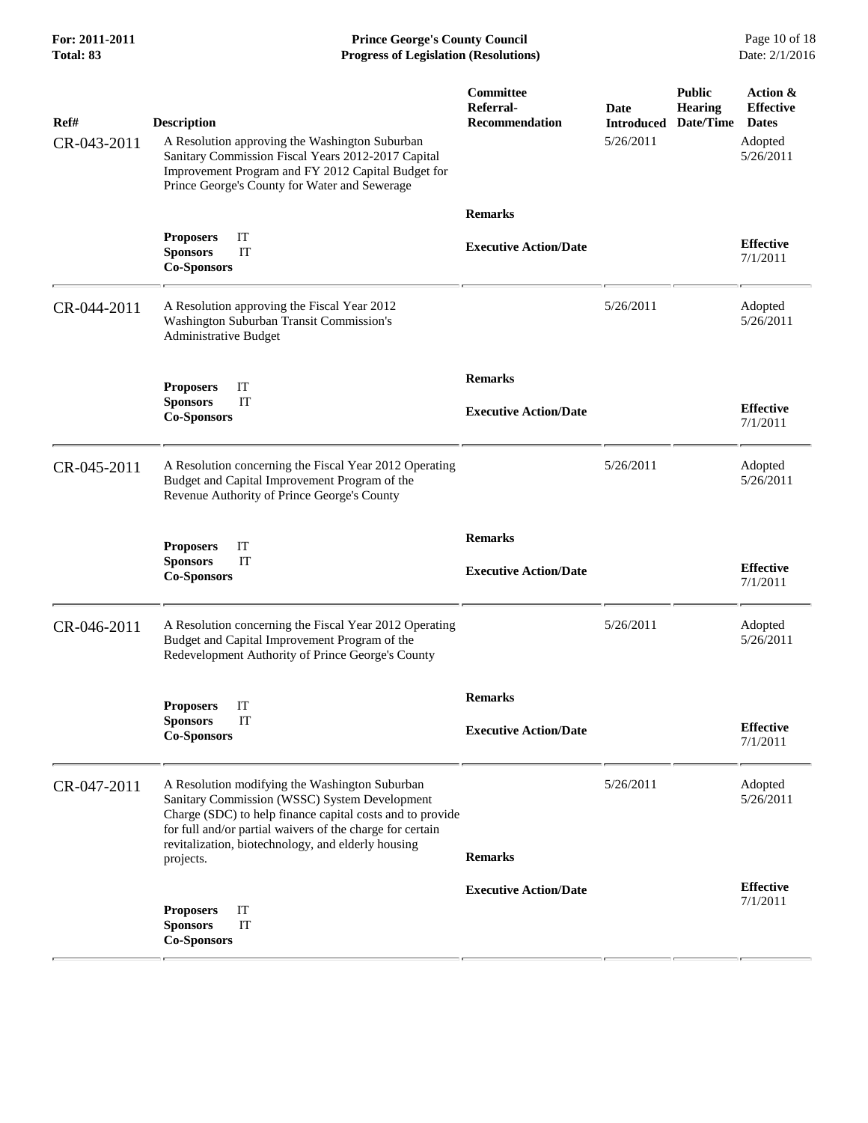**For: 2011-2011 Prince George's County Council** Page 10 of 18<br> **Progress of Legislation (Resolutions)** Date: 2/1/2016 **Progress of Legislation (Resolutions) Progress of Legislation (Resolutions)** 

| Ref#<br>CR-043-2011 | <b>Description</b><br>A Resolution approving the Washington Suburban<br>Sanitary Commission Fiscal Years 2012-2017 Capital<br>Improvement Program and FY 2012 Capital Budget for<br>Prince George's County for Water and Sewerage                                                            | Committee<br>Referral-<br><b>Recommendation</b> | <b>Date</b><br><b>Introduced</b><br>5/26/2011 | <b>Public</b><br><b>Hearing</b><br>Date/Time | Action &<br><b>Effective</b><br><b>Dates</b><br>Adopted<br>5/26/2011 |
|---------------------|----------------------------------------------------------------------------------------------------------------------------------------------------------------------------------------------------------------------------------------------------------------------------------------------|-------------------------------------------------|-----------------------------------------------|----------------------------------------------|----------------------------------------------------------------------|
|                     |                                                                                                                                                                                                                                                                                              | <b>Remarks</b>                                  |                                               |                                              |                                                                      |
|                     | IT<br><b>Proposers</b><br><b>Sponsors</b><br>IT<br><b>Co-Sponsors</b>                                                                                                                                                                                                                        | <b>Executive Action/Date</b>                    |                                               |                                              | <b>Effective</b><br>7/1/2011                                         |
| CR-044-2011         | A Resolution approving the Fiscal Year 2012<br>Washington Suburban Transit Commission's<br><b>Administrative Budget</b>                                                                                                                                                                      |                                                 | 5/26/2011                                     |                                              | Adopted<br>5/26/2011                                                 |
|                     | IT<br><b>Proposers</b>                                                                                                                                                                                                                                                                       | <b>Remarks</b>                                  |                                               |                                              |                                                                      |
|                     | IT<br><b>Sponsors</b><br><b>Co-Sponsors</b>                                                                                                                                                                                                                                                  | <b>Executive Action/Date</b>                    |                                               |                                              | <b>Effective</b><br>7/1/2011                                         |
| CR-045-2011         | A Resolution concerning the Fiscal Year 2012 Operating<br>Budget and Capital Improvement Program of the<br>Revenue Authority of Prince George's County                                                                                                                                       |                                                 | 5/26/2011                                     |                                              | Adopted<br>5/26/2011                                                 |
|                     | IT<br><b>Proposers</b>                                                                                                                                                                                                                                                                       | <b>Remarks</b>                                  |                                               |                                              |                                                                      |
|                     | IT<br><b>Sponsors</b><br><b>Co-Sponsors</b>                                                                                                                                                                                                                                                  | <b>Executive Action/Date</b>                    |                                               |                                              | <b>Effective</b><br>7/1/2011                                         |
| CR-046-2011         | A Resolution concerning the Fiscal Year 2012 Operating<br>Budget and Capital Improvement Program of the<br>Redevelopment Authority of Prince George's County                                                                                                                                 |                                                 | 5/26/2011                                     |                                              | Adopted<br>5/26/2011                                                 |
|                     | IT<br><b>Proposers</b>                                                                                                                                                                                                                                                                       | <b>Remarks</b>                                  |                                               |                                              |                                                                      |
|                     | <b>Sponsors</b><br>ТT<br><b>Co-Sponsors</b>                                                                                                                                                                                                                                                  | <b>Executive Action/Date</b>                    |                                               |                                              | <b>Effective</b><br>7/1/2011                                         |
| CR-047-2011         | A Resolution modifying the Washington Suburban<br>Sanitary Commission (WSSC) System Development<br>Charge (SDC) to help finance capital costs and to provide<br>for full and/or partial waivers of the charge for certain<br>revitalization, biotechnology, and elderly housing<br>projects. | <b>Remarks</b>                                  | 5/26/2011                                     |                                              | Adopted<br>5/26/2011                                                 |
|                     |                                                                                                                                                                                                                                                                                              | <b>Executive Action/Date</b>                    |                                               |                                              | <b>Effective</b>                                                     |
|                     | IT<br><b>Proposers</b><br><b>Sponsors</b><br>IT<br><b>Co-Sponsors</b>                                                                                                                                                                                                                        |                                                 |                                               |                                              | 7/1/2011                                                             |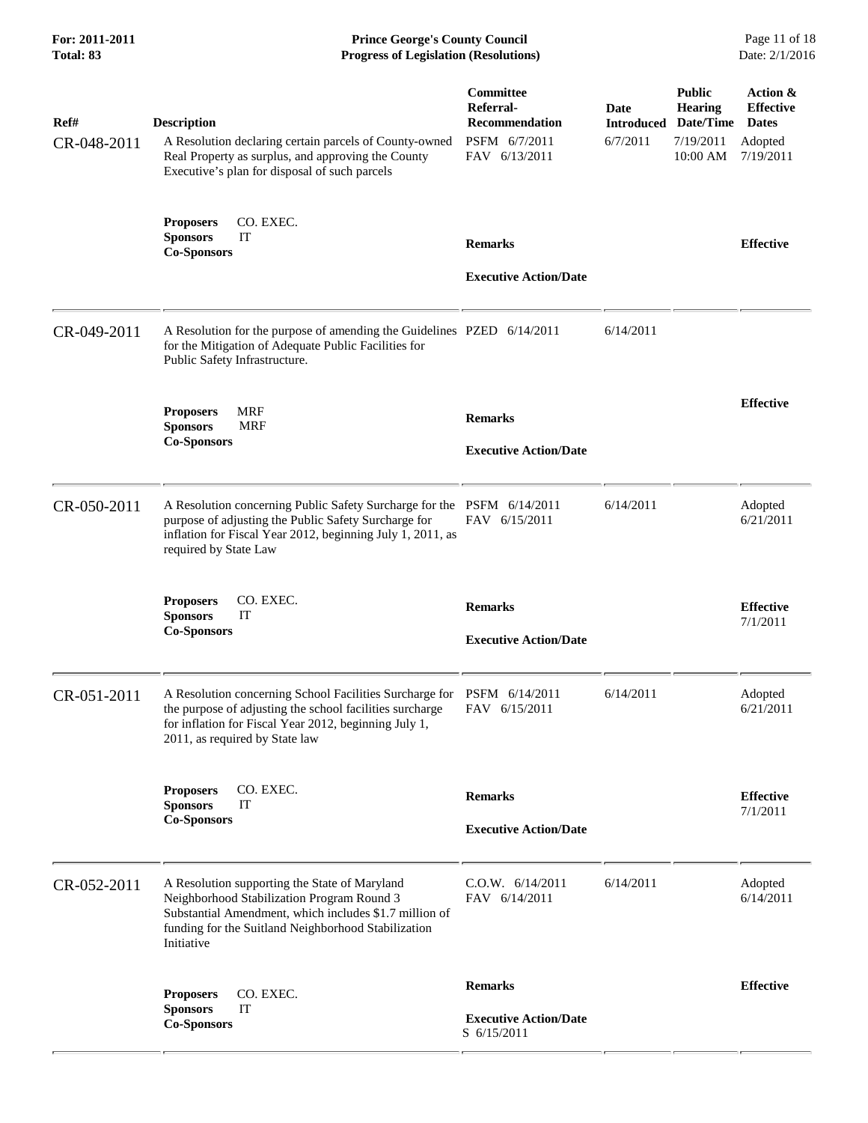| For: 2011-2011<br>Total: 83 | <b>Prince George's County Council</b><br><b>Progress of Legislation (Resolutions)</b>                                                                                                                                      |                                                                                   |                                       |                                                                       | Page 11 of 18<br>Date: 2/1/2016                                      |
|-----------------------------|----------------------------------------------------------------------------------------------------------------------------------------------------------------------------------------------------------------------------|-----------------------------------------------------------------------------------|---------------------------------------|-----------------------------------------------------------------------|----------------------------------------------------------------------|
| Ref#<br>CR-048-2011         | <b>Description</b><br>A Resolution declaring certain parcels of County-owned<br>Real Property as surplus, and approving the County<br>Executive's plan for disposal of such parcels                                        | Committee<br>Referral-<br><b>Recommendation</b><br>PSFM 6/7/2011<br>FAV 6/13/2011 | Date<br><b>Introduced</b><br>6/7/2011 | <b>Public</b><br><b>Hearing</b><br>Date/Time<br>7/19/2011<br>10:00 AM | Action &<br><b>Effective</b><br><b>Dates</b><br>Adopted<br>7/19/2011 |
|                             | <b>Proposers</b><br>CO. EXEC.<br>IT<br><b>Sponsors</b><br><b>Co-Sponsors</b>                                                                                                                                               | <b>Remarks</b><br><b>Executive Action/Date</b>                                    |                                       |                                                                       | <b>Effective</b>                                                     |
| CR-049-2011                 | A Resolution for the purpose of amending the Guidelines PZED 6/14/2011<br>for the Mitigation of Adequate Public Facilities for<br>Public Safety Infrastructure.                                                            |                                                                                   | 6/14/2011                             |                                                                       |                                                                      |
|                             | <b>MRF</b><br><b>Proposers</b><br><b>Sponsors</b><br>MRF<br><b>Co-Sponsors</b>                                                                                                                                             | <b>Remarks</b><br><b>Executive Action/Date</b>                                    |                                       |                                                                       | <b>Effective</b>                                                     |
| CR-050-2011                 | A Resolution concerning Public Safety Surcharge for the PSFM 6/14/2011<br>purpose of adjusting the Public Safety Surcharge for<br>inflation for Fiscal Year 2012, beginning July 1, 2011, as<br>required by State Law      | FAV 6/15/2011                                                                     | 6/14/2011                             |                                                                       | Adopted<br>6/21/2011                                                 |
|                             | <b>Proposers</b><br>CO. EXEC.<br>IT<br><b>Sponsors</b><br><b>Co-Sponsors</b>                                                                                                                                               | <b>Remarks</b><br><b>Executive Action/Date</b>                                    |                                       |                                                                       | <b>Effective</b><br>7/1/2011                                         |
| CR-051-2011                 | A Resolution concerning School Facilities Surcharge for<br>the purpose of adjusting the school facilities surcharge<br>for inflation for Fiscal Year 2012, beginning July 1,<br>2011, as required by State law             | PSFM 6/14/2011<br>FAV 6/15/2011                                                   | 6/14/2011                             |                                                                       | Adopted<br>6/21/2011                                                 |
|                             | CO. EXEC.<br><b>Proposers</b><br><b>Sponsors</b><br>IT<br><b>Co-Sponsors</b>                                                                                                                                               | <b>Remarks</b><br><b>Executive Action/Date</b>                                    |                                       |                                                                       | <b>Effective</b><br>7/1/2011                                         |
| CR-052-2011                 | A Resolution supporting the State of Maryland<br>Neighborhood Stabilization Program Round 3<br>Substantial Amendment, which includes \$1.7 million of<br>funding for the Suitland Neighborhood Stabilization<br>Initiative | C.0.W. 6/14/2011<br>FAV 6/14/2011                                                 | 6/14/2011                             |                                                                       | Adopted<br>6/14/2011                                                 |
|                             | CO. EXEC.<br><b>Proposers</b><br><b>Sponsors</b><br>IT<br><b>Co-Sponsors</b>                                                                                                                                               | <b>Remarks</b><br><b>Executive Action/Date</b><br>S 6/15/2011                     |                                       |                                                                       | <b>Effective</b>                                                     |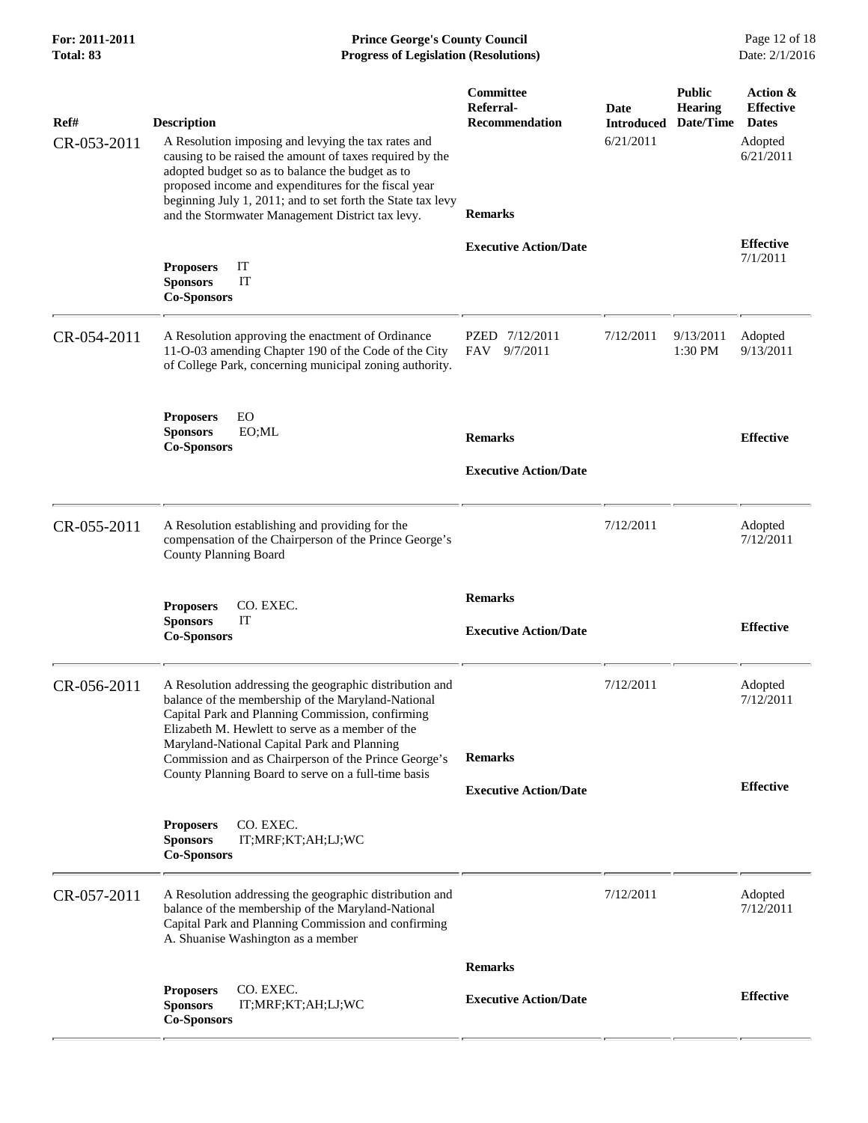| For: 2011-2011<br>Total: 83 | <b>Prince George's County Council</b><br><b>Progress of Legislation (Resolutions)</b>                                                                                                                                                                                                                                                                                               |                                                                          | Page 12 of 18<br>Date: 2/1/2016        |                                              |                                                                      |
|-----------------------------|-------------------------------------------------------------------------------------------------------------------------------------------------------------------------------------------------------------------------------------------------------------------------------------------------------------------------------------------------------------------------------------|--------------------------------------------------------------------------|----------------------------------------|----------------------------------------------|----------------------------------------------------------------------|
| Ref#<br>CR-053-2011         | <b>Description</b><br>A Resolution imposing and levying the tax rates and<br>causing to be raised the amount of taxes required by the<br>adopted budget so as to balance the budget as to<br>proposed income and expenditures for the fiscal year<br>beginning July 1, 2011; and to set forth the State tax levy<br>and the Stormwater Management District tax levy.                | <b>Committee</b><br>Referral-<br><b>Recommendation</b><br><b>Remarks</b> | Date<br><b>Introduced</b><br>6/21/2011 | <b>Public</b><br><b>Hearing</b><br>Date/Time | Action &<br><b>Effective</b><br><b>Dates</b><br>Adopted<br>6/21/2011 |
|                             | IT<br><b>Proposers</b><br><b>Sponsors</b><br>IT<br><b>Co-Sponsors</b>                                                                                                                                                                                                                                                                                                               | <b>Executive Action/Date</b>                                             |                                        |                                              | <b>Effective</b><br>7/1/2011                                         |
| CR-054-2011                 | A Resolution approving the enactment of Ordinance<br>11-O-03 amending Chapter 190 of the Code of the City<br>of College Park, concerning municipal zoning authority.                                                                                                                                                                                                                | PZED 7/12/2011<br>FAV<br>9/7/2011                                        | 7/12/2011                              | 9/13/2011<br>1:30 PM                         | Adopted<br>9/13/2011                                                 |
|                             | EO<br><b>Proposers</b><br><b>Sponsors</b><br>EO;ML<br><b>Co-Sponsors</b>                                                                                                                                                                                                                                                                                                            | <b>Remarks</b><br><b>Executive Action/Date</b>                           |                                        |                                              | <b>Effective</b>                                                     |
| CR-055-2011                 | A Resolution establishing and providing for the<br>compensation of the Chairperson of the Prince George's<br><b>County Planning Board</b>                                                                                                                                                                                                                                           |                                                                          | 7/12/2011                              |                                              | Adopted<br>7/12/2011                                                 |
|                             | CO. EXEC.<br><b>Proposers</b><br>IT<br><b>Sponsors</b><br><b>Co-Sponsors</b>                                                                                                                                                                                                                                                                                                        | <b>Remarks</b><br><b>Executive Action/Date</b>                           |                                        |                                              | <b>Effective</b>                                                     |
| CR-056-2011                 | A Resolution addressing the geographic distribution and<br>balance of the membership of the Maryland-National<br>Capital Park and Planning Commission, confirming<br>Elizabeth M. Hewlett to serve as a member of the<br>Maryland-National Capital Park and Planning<br>Commission and as Chairperson of the Prince George's<br>County Planning Board to serve on a full-time basis | <b>Remarks</b><br><b>Executive Action/Date</b>                           | 7/12/2011                              |                                              | Adopted<br>7/12/2011<br><b>Effective</b>                             |
|                             | CO. EXEC.<br><b>Proposers</b><br><b>Sponsors</b><br>IT;MRF;KT;AH;LJ;WC<br><b>Co-Sponsors</b>                                                                                                                                                                                                                                                                                        |                                                                          |                                        |                                              |                                                                      |
| CR-057-2011                 | A Resolution addressing the geographic distribution and<br>balance of the membership of the Maryland-National<br>Capital Park and Planning Commission and confirming<br>A. Shuanise Washington as a member                                                                                                                                                                          |                                                                          | 7/12/2011                              |                                              | Adopted<br>7/12/2011                                                 |
|                             |                                                                                                                                                                                                                                                                                                                                                                                     | <b>Remarks</b>                                                           |                                        |                                              |                                                                      |
|                             | CO. EXEC.<br><b>Proposers</b><br><b>Sponsors</b><br>IT;MRF;KT;AH;LJ;WC<br><b>Co-Sponsors</b>                                                                                                                                                                                                                                                                                        | <b>Executive Action/Date</b>                                             |                                        |                                              | <b>Effective</b>                                                     |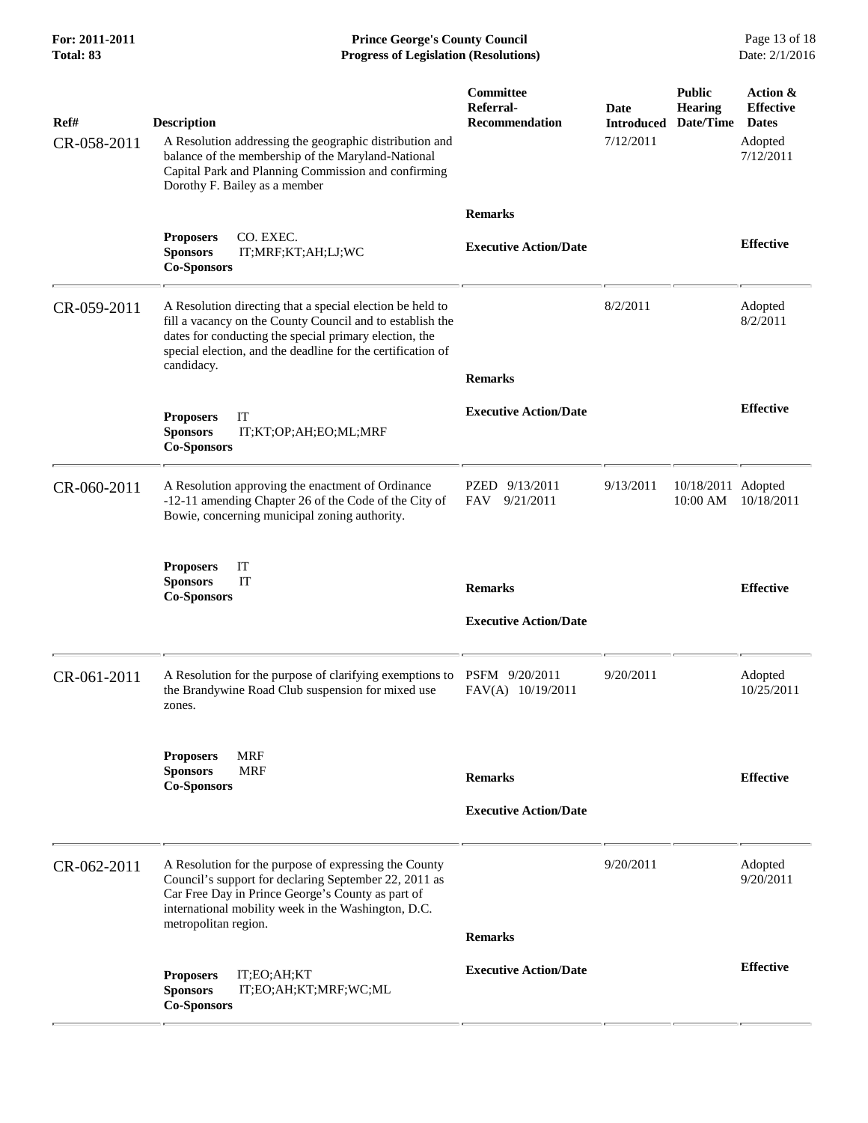**For: 2011-2011 Prince George's County Council** Page 13 of 18<br> **Prince George's County Council** Page 13 of 18<br> **Progress of Legislation (Resolutions)** Date: 2/1/2016 **Progress of Legislation (Resolutions) Progress of Legislation (Resolutions)** 

| Ref#        | <b>Description</b>                                                                                                                                                                                                                                            | <b>Committee</b><br>Referral-<br>Recommendation | Date<br><b>Introduced</b> | <b>Public</b><br><b>Hearing</b><br>Date/Time | Action &<br><b>Effective</b><br><b>Dates</b> |
|-------------|---------------------------------------------------------------------------------------------------------------------------------------------------------------------------------------------------------------------------------------------------------------|-------------------------------------------------|---------------------------|----------------------------------------------|----------------------------------------------|
| CR-058-2011 | A Resolution addressing the geographic distribution and<br>balance of the membership of the Maryland-National<br>Capital Park and Planning Commission and confirming<br>Dorothy F. Bailey as a member                                                         |                                                 | 7/12/2011                 |                                              | Adopted<br>7/12/2011                         |
|             |                                                                                                                                                                                                                                                               | <b>Remarks</b>                                  |                           |                                              |                                              |
|             | CO. EXEC.<br><b>Proposers</b><br><b>Sponsors</b><br>IT;MRF;KT;AH;LJ;WC<br><b>Co-Sponsors</b>                                                                                                                                                                  | <b>Executive Action/Date</b>                    |                           |                                              | <b>Effective</b>                             |
| CR-059-2011 | A Resolution directing that a special election be held to<br>fill a vacancy on the County Council and to establish the<br>dates for conducting the special primary election, the<br>special election, and the deadline for the certification of<br>candidacy. | <b>Remarks</b>                                  | 8/2/2011                  |                                              | Adopted<br>8/2/2011                          |
|             | <b>Proposers</b><br>IT<br><b>Sponsors</b><br>IT;KT;OP;AH;EO;ML;MRF<br><b>Co-Sponsors</b>                                                                                                                                                                      | <b>Executive Action/Date</b>                    |                           |                                              | <b>Effective</b>                             |
| CR-060-2011 | A Resolution approving the enactment of Ordinance<br>-12-11 amending Chapter 26 of the Code of the City of<br>Bowie, concerning municipal zoning authority.                                                                                                   | PZED 9/13/2011<br>FAV<br>9/21/2011              | 9/13/2011                 | 10/18/2011 Adopted<br>10:00 AM               | 10/18/2011                                   |
|             | <b>Proposers</b><br>IT<br>IT<br><b>Sponsors</b><br><b>Co-Sponsors</b>                                                                                                                                                                                         | <b>Remarks</b>                                  |                           |                                              | <b>Effective</b>                             |
|             |                                                                                                                                                                                                                                                               | <b>Executive Action/Date</b>                    |                           |                                              |                                              |
| CR-061-2011 | A Resolution for the purpose of clarifying exemptions to<br>the Brandywine Road Club suspension for mixed use<br>zones.                                                                                                                                       | PSFM 9/20/2011<br>FAV(A) 10/19/2011             | 9/20/2011                 |                                              | Adopted<br>10/25/2011                        |
|             | <b>MRF</b><br><b>Proposers</b><br><b>Sponsors</b><br><b>MRF</b><br><b>Co-Sponsors</b>                                                                                                                                                                         | <b>Remarks</b>                                  |                           |                                              | <b>Effective</b>                             |
|             |                                                                                                                                                                                                                                                               | <b>Executive Action/Date</b>                    |                           |                                              |                                              |
| CR-062-2011 | A Resolution for the purpose of expressing the County<br>Council's support for declaring September 22, 2011 as<br>Car Free Day in Prince George's County as part of<br>international mobility week in the Washington, D.C.<br>metropolitan region.            |                                                 | 9/20/2011                 |                                              | Adopted<br>9/20/2011                         |
|             |                                                                                                                                                                                                                                                               | <b>Remarks</b>                                  |                           |                                              |                                              |
|             | <b>Proposers</b><br>IT;EO;AH;KT<br>IT;EO;AH;KT;MRF;WC;ML<br><b>Sponsors</b><br><b>Co-Sponsors</b>                                                                                                                                                             | <b>Executive Action/Date</b>                    |                           |                                              | <b>Effective</b>                             |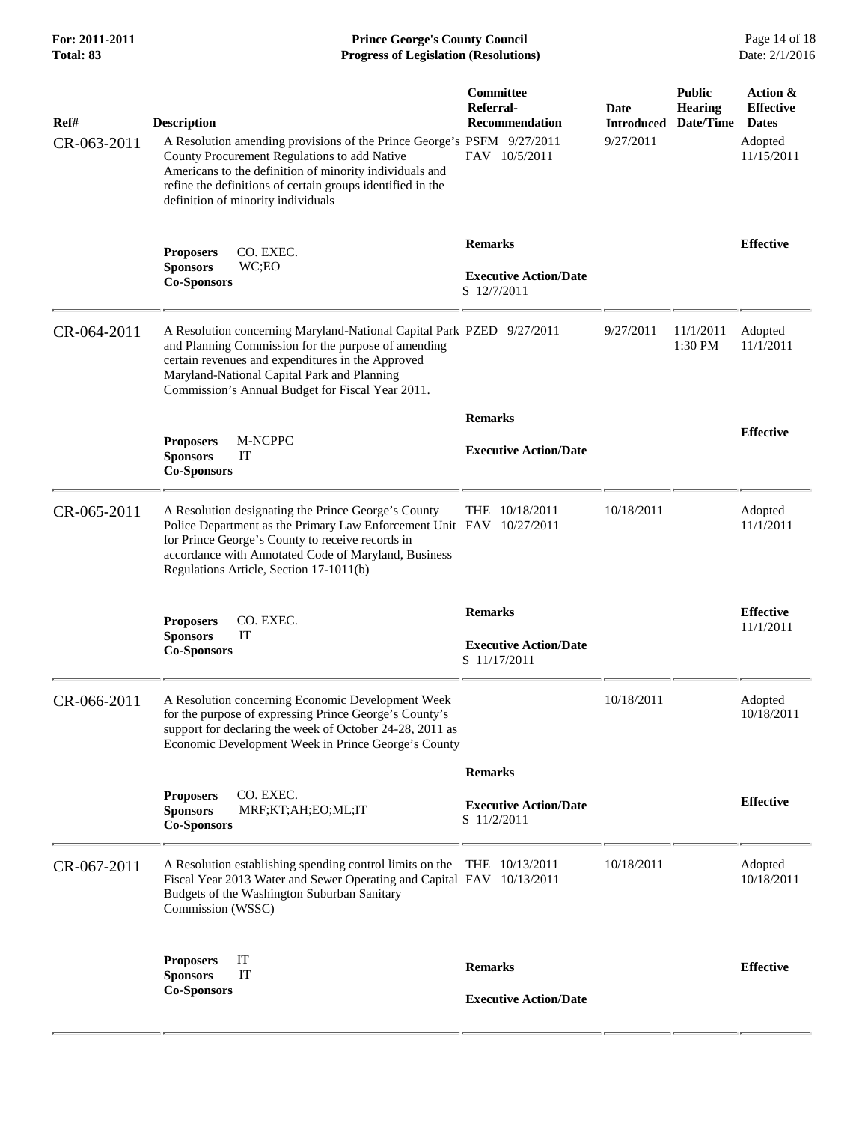| For: 2011-2011<br>Total: 83 | <b>Prince George's County Council</b><br><b>Progress of Legislation (Resolutions)</b>                                                                                                                                                                                                                       |                                                                         |                                        |                                              | Page 14 of 18<br>Date: 2/1/2016                                       |
|-----------------------------|-------------------------------------------------------------------------------------------------------------------------------------------------------------------------------------------------------------------------------------------------------------------------------------------------------------|-------------------------------------------------------------------------|----------------------------------------|----------------------------------------------|-----------------------------------------------------------------------|
| Ref#<br>CR-063-2011         | <b>Description</b><br>A Resolution amending provisions of the Prince George's PSFM 9/27/2011<br>County Procurement Regulations to add Native<br>Americans to the definition of minority individuals and<br>refine the definitions of certain groups identified in the<br>definition of minority individuals | <b>Committee</b><br>Referral-<br><b>Recommendation</b><br>FAV 10/5/2011 | Date<br><b>Introduced</b><br>9/27/2011 | <b>Public</b><br><b>Hearing</b><br>Date/Time | Action &<br><b>Effective</b><br><b>Dates</b><br>Adopted<br>11/15/2011 |
|                             | CO. EXEC.<br><b>Proposers</b><br>WC;EO<br><b>Sponsors</b><br><b>Co-Sponsors</b>                                                                                                                                                                                                                             | <b>Remarks</b><br><b>Executive Action/Date</b><br>S 12/7/2011           |                                        |                                              | <b>Effective</b>                                                      |
| CR-064-2011                 | A Resolution concerning Maryland-National Capital Park PZED 9/27/2011<br>and Planning Commission for the purpose of amending<br>certain revenues and expenditures in the Approved<br>Maryland-National Capital Park and Planning<br>Commission's Annual Budget for Fiscal Year 2011.                        |                                                                         | 9/27/2011                              | 11/1/2011<br>1:30 PM                         | Adopted<br>11/1/2011                                                  |
|                             | M-NCPPC<br><b>Proposers</b><br><b>Sponsors</b><br>IT<br><b>Co-Sponsors</b>                                                                                                                                                                                                                                  | <b>Remarks</b><br><b>Executive Action/Date</b>                          |                                        |                                              | <b>Effective</b>                                                      |
| CR-065-2011                 | A Resolution designating the Prince George's County<br>Police Department as the Primary Law Enforcement Unit FAV 10/27/2011<br>for Prince George's County to receive records in<br>accordance with Annotated Code of Maryland, Business<br>Regulations Article, Section 17-1011(b)                          | THE 10/18/2011                                                          | 10/18/2011                             |                                              | Adopted<br>11/1/2011                                                  |
|                             | CO. EXEC.<br><b>Proposers</b><br><b>Sponsors</b><br>IT<br><b>Co-Sponsors</b>                                                                                                                                                                                                                                | <b>Remarks</b><br><b>Executive Action/Date</b><br>S 11/17/2011          |                                        |                                              | <b>Effective</b><br>11/1/2011                                         |
| CR-066-2011                 | A Resolution concerning Economic Development Week<br>for the purpose of expressing Prince George's County's<br>support for declaring the week of October 24-28, 2011 as<br>Economic Development Week in Prince George's County                                                                              |                                                                         | 10/18/2011                             |                                              | Adopted<br>10/18/2011                                                 |
|                             | CO. EXEC.<br><b>Proposers</b><br><b>Sponsors</b><br>MRF;KT;AH;EO;ML;IT<br><b>Co-Sponsors</b>                                                                                                                                                                                                                | <b>Remarks</b><br><b>Executive Action/Date</b><br>S 11/2/2011           |                                        |                                              | <b>Effective</b>                                                      |
| CR-067-2011                 | A Resolution establishing spending control limits on the THE 10/13/2011<br>Fiscal Year 2013 Water and Sewer Operating and Capital FAV 10/13/2011<br>Budgets of the Washington Suburban Sanitary<br>Commission (WSSC)                                                                                        |                                                                         | 10/18/2011                             |                                              | Adopted<br>10/18/2011                                                 |
|                             | IT<br><b>Proposers</b><br><b>Sponsors</b><br>IT                                                                                                                                                                                                                                                             | <b>Remarks</b>                                                          |                                        |                                              | <b>Effective</b>                                                      |
|                             | <b>Co-Sponsors</b>                                                                                                                                                                                                                                                                                          | <b>Executive Action/Date</b>                                            |                                        |                                              |                                                                       |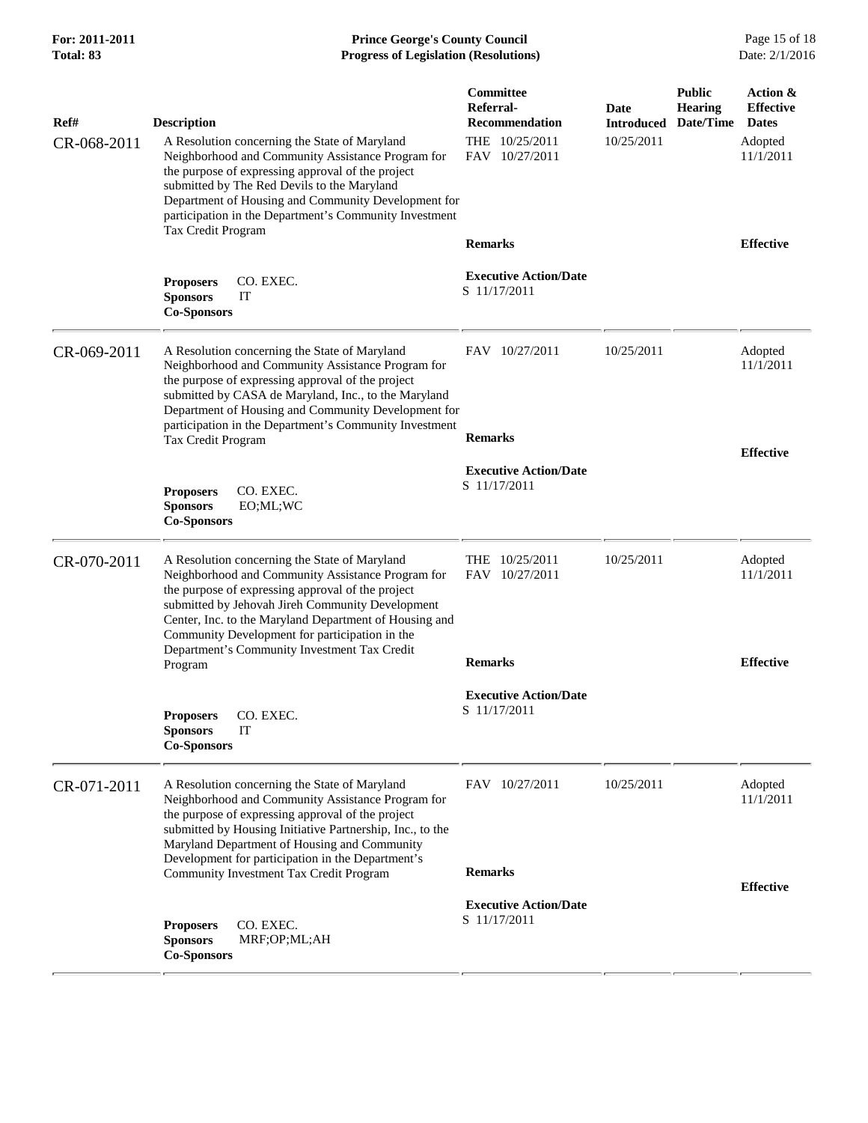## **For: 2011-2011 Prince George's County Council** Page 15 of 18<br> **Prince George's County Council** Page 15 of 18<br> **Progress of Legislation (Resolutions)** Date: 2/1/2016 **Progress of Legislation (Resolutions) Progress of Legislation (Resolutions)**

| Ref#        | <b>Description</b>                                                                                                                                                                                                                                                                                                                                                      | <b>Committee</b><br>Referral-<br><b>Recommendation</b> | Date<br><b>Introduced</b> | <b>Public</b><br><b>Hearing</b><br>Date/Time | Action &<br><b>Effective</b><br><b>Dates</b> |
|-------------|-------------------------------------------------------------------------------------------------------------------------------------------------------------------------------------------------------------------------------------------------------------------------------------------------------------------------------------------------------------------------|--------------------------------------------------------|---------------------------|----------------------------------------------|----------------------------------------------|
| CR-068-2011 | A Resolution concerning the State of Maryland<br>Neighborhood and Community Assistance Program for<br>the purpose of expressing approval of the project<br>submitted by The Red Devils to the Maryland<br>Department of Housing and Community Development for<br>participation in the Department's Community Investment                                                 | THE 10/25/2011<br>FAV 10/27/2011                       | 10/25/2011                |                                              | Adopted<br>11/1/2011                         |
|             | Tax Credit Program                                                                                                                                                                                                                                                                                                                                                      | <b>Remarks</b>                                         |                           | <b>Effective</b>                             |                                              |
|             | <b>Proposers</b><br>CO. EXEC.<br><b>Sponsors</b><br>IT<br><b>Co-Sponsors</b>                                                                                                                                                                                                                                                                                            | <b>Executive Action/Date</b><br>S 11/17/2011           |                           |                                              |                                              |
| CR-069-2011 | A Resolution concerning the State of Maryland<br>Neighborhood and Community Assistance Program for<br>the purpose of expressing approval of the project<br>submitted by CASA de Maryland, Inc., to the Maryland<br>Department of Housing and Community Development for                                                                                                  | FAV 10/27/2011                                         | 10/25/2011                |                                              | Adopted<br>11/1/2011                         |
|             | participation in the Department's Community Investment<br>Tax Credit Program                                                                                                                                                                                                                                                                                            | <b>Remarks</b>                                         |                           |                                              | <b>Effective</b>                             |
|             | CO. EXEC.<br><b>Proposers</b><br><b>Sponsors</b><br>EO;ML;WC<br><b>Co-Sponsors</b>                                                                                                                                                                                                                                                                                      | <b>Executive Action/Date</b><br>S 11/17/2011           |                           |                                              |                                              |
| CR-070-2011 | A Resolution concerning the State of Maryland<br>Neighborhood and Community Assistance Program for<br>the purpose of expressing approval of the project<br>submitted by Jehovah Jireh Community Development<br>Center, Inc. to the Maryland Department of Housing and<br>Community Development for participation in the<br>Department's Community Investment Tax Credit | THE 10/25/2011<br>FAV 10/27/2011                       | 10/25/2011                |                                              | Adopted<br>11/1/2011                         |
|             | Program                                                                                                                                                                                                                                                                                                                                                                 | <b>Remarks</b>                                         |                           |                                              | <b>Effective</b>                             |
|             | CO. EXEC.<br><b>Proposers</b><br><b>Sponsors</b><br>IT<br><b>Co-Sponsors</b>                                                                                                                                                                                                                                                                                            | <b>Executive Action/Date</b><br>S 11/17/2011           |                           |                                              |                                              |
| CR-071-2011 | A Resolution concerning the State of Maryland<br>Neighborhood and Community Assistance Program for<br>the purpose of expressing approval of the project<br>submitted by Housing Initiative Partnership, Inc., to the<br>Maryland Department of Housing and Community                                                                                                    | FAV 10/27/2011                                         | 10/25/2011                |                                              | Adopted<br>11/1/2011                         |
|             | Development for participation in the Department's<br>Community Investment Tax Credit Program                                                                                                                                                                                                                                                                            | <b>Remarks</b>                                         |                           |                                              | <b>Effective</b>                             |
|             | <b>Proposers</b><br>CO. EXEC.<br><b>Sponsors</b><br>MRF;OP;ML;AH<br><b>Co-Sponsors</b>                                                                                                                                                                                                                                                                                  | <b>Executive Action/Date</b><br>S 11/17/2011           |                           |                                              |                                              |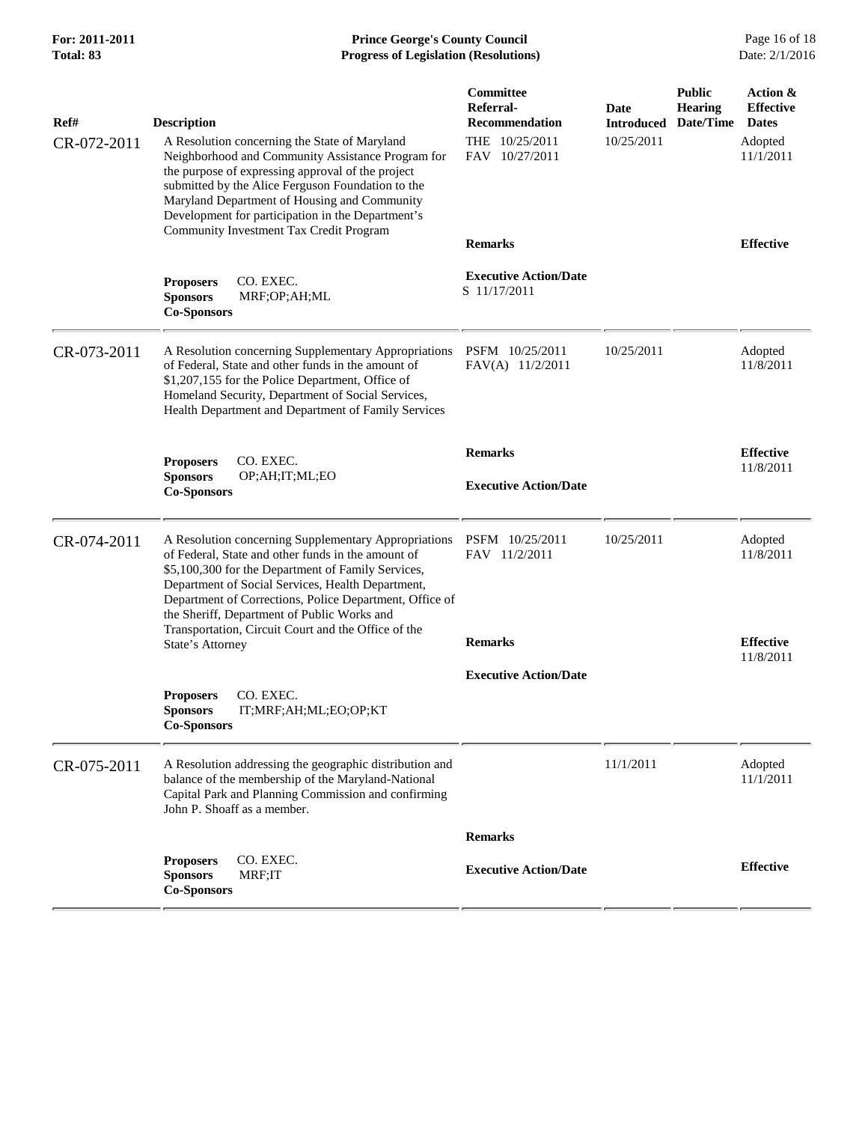## **For: 2011-2011 Prince George's County Council** Page 16 of 18<br> **Prince George's County Council** Page 16 of 18<br> **Progress of Legislation (Resolutions)** Date: 2/1/2016 **Progress of Legislation (Resolutions) Progress of Legislation (Resolutions)**

| Ref#        | <b>Description</b>                                                                                                                                                                                                                                                                                                                                                                     | <b>Committee</b><br>Referral-<br><b>Recommendation</b> | Date<br><b>Introduced</b> | <b>Public</b><br><b>Hearing</b><br>Date/Time | Action &<br><b>Effective</b><br><b>Dates</b> |
|-------------|----------------------------------------------------------------------------------------------------------------------------------------------------------------------------------------------------------------------------------------------------------------------------------------------------------------------------------------------------------------------------------------|--------------------------------------------------------|---------------------------|----------------------------------------------|----------------------------------------------|
| CR-072-2011 | A Resolution concerning the State of Maryland<br>Neighborhood and Community Assistance Program for<br>the purpose of expressing approval of the project<br>submitted by the Alice Ferguson Foundation to the<br>Maryland Department of Housing and Community<br>Development for participation in the Department's<br>Community Investment Tax Credit Program                           | THE 10/25/2011<br>FAV 10/27/2011                       | 10/25/2011                |                                              | Adopted<br>11/1/2011                         |
|             |                                                                                                                                                                                                                                                                                                                                                                                        | <b>Remarks</b>                                         |                           |                                              | <b>Effective</b>                             |
|             | CO. EXEC.<br><b>Proposers</b><br><b>Sponsors</b><br>MRF;OP;AH;ML<br><b>Co-Sponsors</b>                                                                                                                                                                                                                                                                                                 | <b>Executive Action/Date</b><br>S 11/17/2011           |                           |                                              |                                              |
| CR-073-2011 | A Resolution concerning Supplementary Appropriations<br>of Federal, State and other funds in the amount of<br>\$1,207,155 for the Police Department, Office of<br>Homeland Security, Department of Social Services,<br>Health Department and Department of Family Services                                                                                                             | PSFM 10/25/2011<br>FAV(A) 11/2/2011                    | 10/25/2011                |                                              | Adopted<br>11/8/2011                         |
|             | CO. EXEC.<br><b>Proposers</b>                                                                                                                                                                                                                                                                                                                                                          | <b>Remarks</b>                                         |                           |                                              | <b>Effective</b>                             |
|             | <b>Sponsors</b><br>OP;AH;IT;ML;EO<br><b>Co-Sponsors</b>                                                                                                                                                                                                                                                                                                                                | <b>Executive Action/Date</b>                           |                           |                                              | 11/8/2011                                    |
| CR-074-2011 | A Resolution concerning Supplementary Appropriations<br>of Federal, State and other funds in the amount of<br>\$5,100,300 for the Department of Family Services,<br>Department of Social Services, Health Department,<br>Department of Corrections, Police Department, Office of<br>the Sheriff, Department of Public Works and<br>Transportation, Circuit Court and the Office of the | PSFM 10/25/2011<br>FAV 11/2/2011                       | 10/25/2011                |                                              | Adopted<br>11/8/2011                         |
|             | State's Attorney                                                                                                                                                                                                                                                                                                                                                                       | <b>Remarks</b>                                         |                           |                                              | <b>Effective</b><br>11/8/2011                |
|             |                                                                                                                                                                                                                                                                                                                                                                                        | <b>Executive Action/Date</b>                           |                           |                                              |                                              |
|             | <b>Proposers</b><br>CO. EXEC.<br>IT;MRF;AH;ML;EO;OP;KT<br><b>Sponsors</b><br><b>Co-Sponsors</b>                                                                                                                                                                                                                                                                                        |                                                        |                           |                                              |                                              |
| CR-075-2011 | A Resolution addressing the geographic distribution and<br>balance of the membership of the Maryland-National<br>Capital Park and Planning Commission and confirming<br>John P. Shoaff as a member.                                                                                                                                                                                    |                                                        | 11/1/2011                 |                                              | Adopted<br>11/1/2011                         |
|             |                                                                                                                                                                                                                                                                                                                                                                                        | <b>Remarks</b>                                         |                           |                                              |                                              |
|             | <b>Proposers</b><br>CO. EXEC.<br>MRF;IT<br><b>Sponsors</b><br><b>Co-Sponsors</b>                                                                                                                                                                                                                                                                                                       | <b>Executive Action/Date</b>                           |                           |                                              | <b>Effective</b>                             |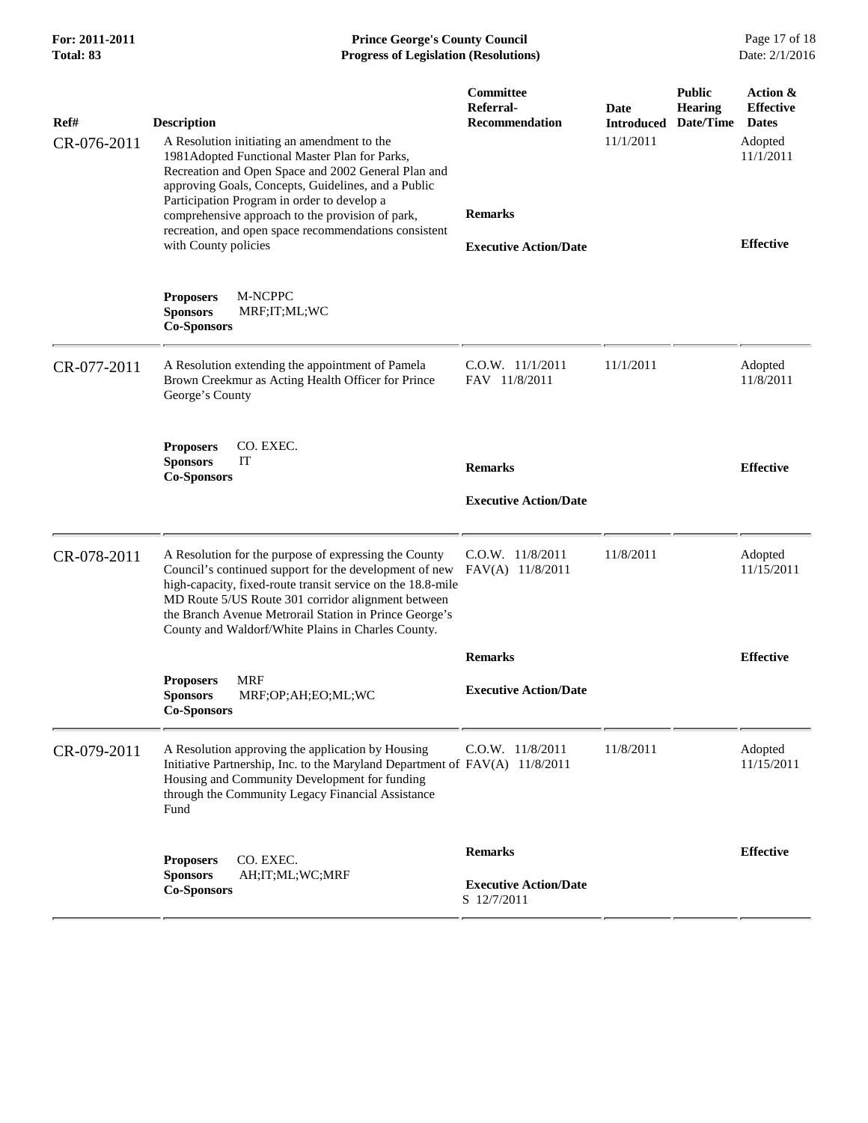| For: 2011-2011<br>Total: 83 | <b>Prince George's County Council</b><br><b>Progress of Legislation (Resolutions)</b>                                                                                                                                                                                                                                                                                                                                |                                                                                                   |                                        |                                              | Page 17 of 18<br>Date: 2/1/2016                                                          |  |
|-----------------------------|----------------------------------------------------------------------------------------------------------------------------------------------------------------------------------------------------------------------------------------------------------------------------------------------------------------------------------------------------------------------------------------------------------------------|---------------------------------------------------------------------------------------------------|----------------------------------------|----------------------------------------------|------------------------------------------------------------------------------------------|--|
| Ref#<br>CR-076-2011         | <b>Description</b><br>A Resolution initiating an amendment to the<br>1981Adopted Functional Master Plan for Parks,<br>Recreation and Open Space and 2002 General Plan and<br>approving Goals, Concepts, Guidelines, and a Public<br>Participation Program in order to develop a<br>comprehensive approach to the provision of park,<br>recreation, and open space recommendations consistent<br>with County policies | Committee<br>Referral-<br><b>Recommendation</b><br><b>Remarks</b><br><b>Executive Action/Date</b> | Date<br><b>Introduced</b><br>11/1/2011 | <b>Public</b><br><b>Hearing</b><br>Date/Time | Action &<br><b>Effective</b><br><b>Dates</b><br>Adopted<br>11/1/2011<br><b>Effective</b> |  |
|                             | M-NCPPC<br><b>Proposers</b><br><b>Sponsors</b><br>MRF;IT;ML;WC<br><b>Co-Sponsors</b>                                                                                                                                                                                                                                                                                                                                 |                                                                                                   |                                        |                                              |                                                                                          |  |
| CR-077-2011                 | A Resolution extending the appointment of Pamela<br>Brown Creekmur as Acting Health Officer for Prince<br>George's County                                                                                                                                                                                                                                                                                            | $C.0.W.$ $11/1/2011$<br>FAV 11/8/2011                                                             | 11/1/2011                              |                                              | Adopted<br>11/8/2011                                                                     |  |
|                             | CO. EXEC.<br><b>Proposers</b><br><b>Sponsors</b><br>IT<br><b>Co-Sponsors</b>                                                                                                                                                                                                                                                                                                                                         | <b>Remarks</b><br><b>Executive Action/Date</b>                                                    |                                        |                                              | <b>Effective</b>                                                                         |  |
| CR-078-2011                 | A Resolution for the purpose of expressing the County<br>Council's continued support for the development of new<br>high-capacity, fixed-route transit service on the 18.8-mile<br>MD Route 5/US Route 301 corridor alignment between<br>the Branch Avenue Metrorail Station in Prince George's<br>County and Waldorf/White Plains in Charles County.                                                                 | C.O.W. 11/8/2011<br>FAV(A) 11/8/2011                                                              | 11/8/2011                              |                                              | Adopted<br>11/15/2011                                                                    |  |
|                             |                                                                                                                                                                                                                                                                                                                                                                                                                      | <b>Remarks</b>                                                                                    |                                        |                                              | <b>Effective</b>                                                                         |  |
|                             | <b>MRF</b><br><b>Proposers</b><br><b>Sponsors</b><br>MRF;OP;AH;EO;ML;WC<br><b>Co-Sponsors</b>                                                                                                                                                                                                                                                                                                                        | <b>Executive Action/Date</b>                                                                      |                                        |                                              |                                                                                          |  |
| CR-079-2011                 | A Resolution approving the application by Housing<br>Initiative Partnership, Inc. to the Maryland Department of FAV(A) 11/8/2011<br>Housing and Community Development for funding<br>through the Community Legacy Financial Assistance<br>Fund                                                                                                                                                                       | C.O.W. 11/8/2011                                                                                  | 11/8/2011                              |                                              | Adopted<br>11/15/2011                                                                    |  |
|                             | CO. EXEC.<br><b>Proposers</b><br>AH;IT;ML;WC;MRF<br><b>Sponsors</b><br><b>Co-Sponsors</b>                                                                                                                                                                                                                                                                                                                            | <b>Remarks</b><br><b>Executive Action/Date</b><br>S 12/7/2011                                     |                                        |                                              | <b>Effective</b>                                                                         |  |